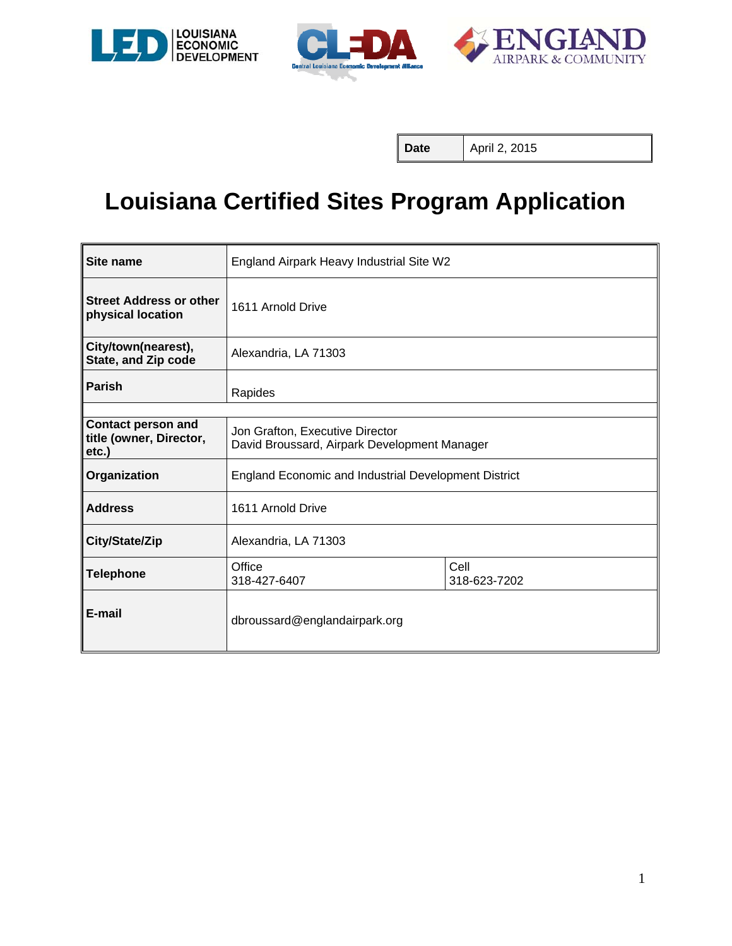





**Date** | April 2, 2015

# **Louisiana Certified Sites Program Application**

| Site name                                                     | England Airpark Heavy Industrial Site W2                                        |  |  |
|---------------------------------------------------------------|---------------------------------------------------------------------------------|--|--|
| <b>Street Address or other</b><br>physical location           | 1611 Arnold Drive                                                               |  |  |
| City/town(nearest),<br>State, and Zip code                    | Alexandria, LA 71303                                                            |  |  |
| <b>Parish</b>                                                 | Rapides                                                                         |  |  |
|                                                               |                                                                                 |  |  |
| <b>Contact person and</b><br>title (owner, Director,<br>etc.) | Jon Grafton, Executive Director<br>David Broussard, Airpark Development Manager |  |  |
| Organization                                                  | <b>England Economic and Industrial Development District</b>                     |  |  |
| <b>Address</b>                                                | 1611 Arnold Drive                                                               |  |  |
| City/State/Zip                                                | Alexandria, LA 71303                                                            |  |  |
| <b>Telephone</b>                                              | Cell<br>Office<br>318-427-6407<br>318-623-7202                                  |  |  |
| E-mail                                                        | dbroussard@englandairpark.org                                                   |  |  |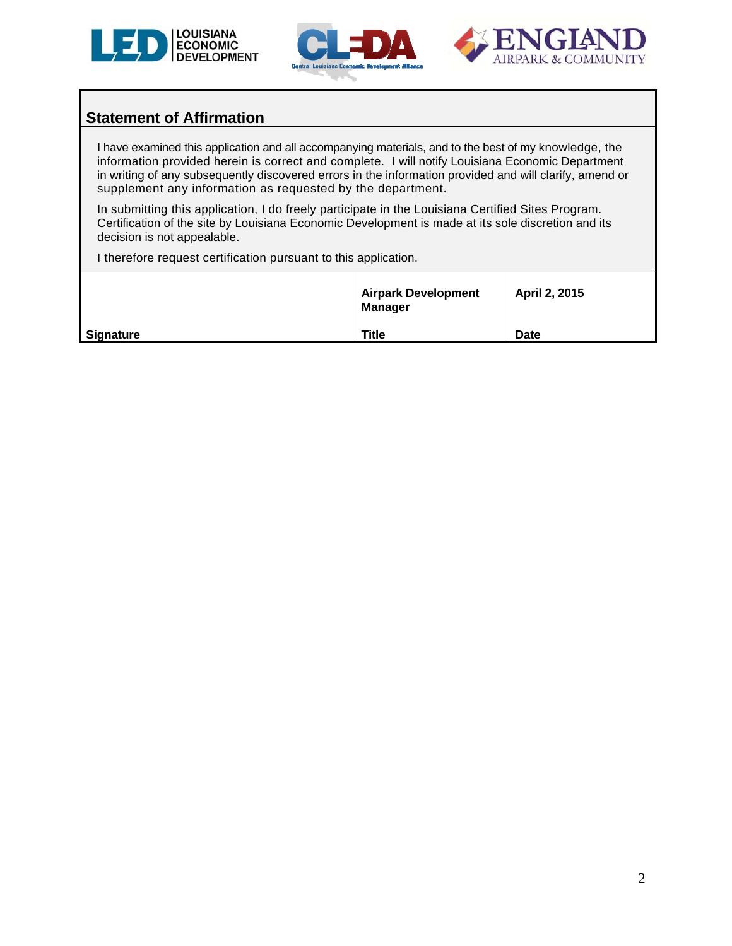





### **Statement of Affirmation**

I have examined this application and all accompanying materials, and to the best of my knowledge, the information provided herein is correct and complete. I will notify Louisiana Economic Department in writing of any subsequently discovered errors in the information provided and will clarify, amend or supplement any information as requested by the department.

In submitting this application, I do freely participate in the Louisiana Certified Sites Program. Certification of the site by Louisiana Economic Development is made at its sole discretion and its decision is not appealable.

I therefore request certification pursuant to this application.

|                  | <b>Airpark Development</b><br><b>Manager</b> | April 2, 2015 |
|------------------|----------------------------------------------|---------------|
| <b>Signature</b> | <b>Title</b>                                 | <b>Date</b>   |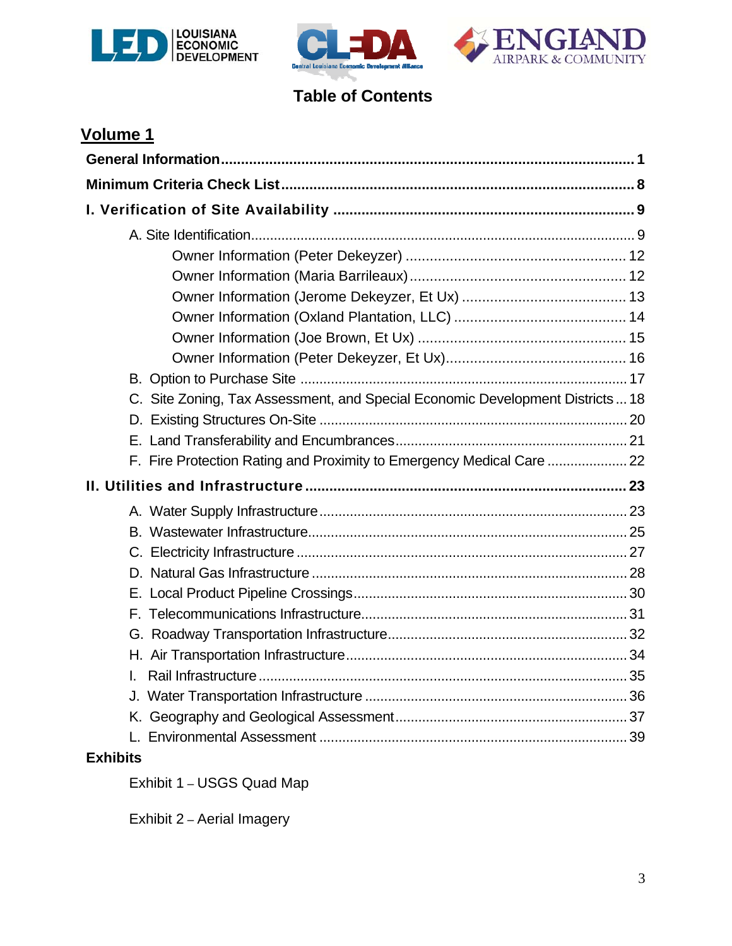





# **Table of Contents**

| <b>Volume 1</b>                                                                |  |
|--------------------------------------------------------------------------------|--|
|                                                                                |  |
|                                                                                |  |
|                                                                                |  |
|                                                                                |  |
|                                                                                |  |
|                                                                                |  |
|                                                                                |  |
|                                                                                |  |
|                                                                                |  |
|                                                                                |  |
|                                                                                |  |
| C. Site Zoning, Tax Assessment, and Special Economic Development Districts  18 |  |
|                                                                                |  |
|                                                                                |  |
|                                                                                |  |
|                                                                                |  |
|                                                                                |  |
|                                                                                |  |
|                                                                                |  |
|                                                                                |  |
|                                                                                |  |
|                                                                                |  |
|                                                                                |  |
|                                                                                |  |
|                                                                                |  |
|                                                                                |  |
|                                                                                |  |
|                                                                                |  |
| <b>Exhibits</b>                                                                |  |

Exhibit 1 – USGS Quad Map

Exhibit 2 – Aerial Imagery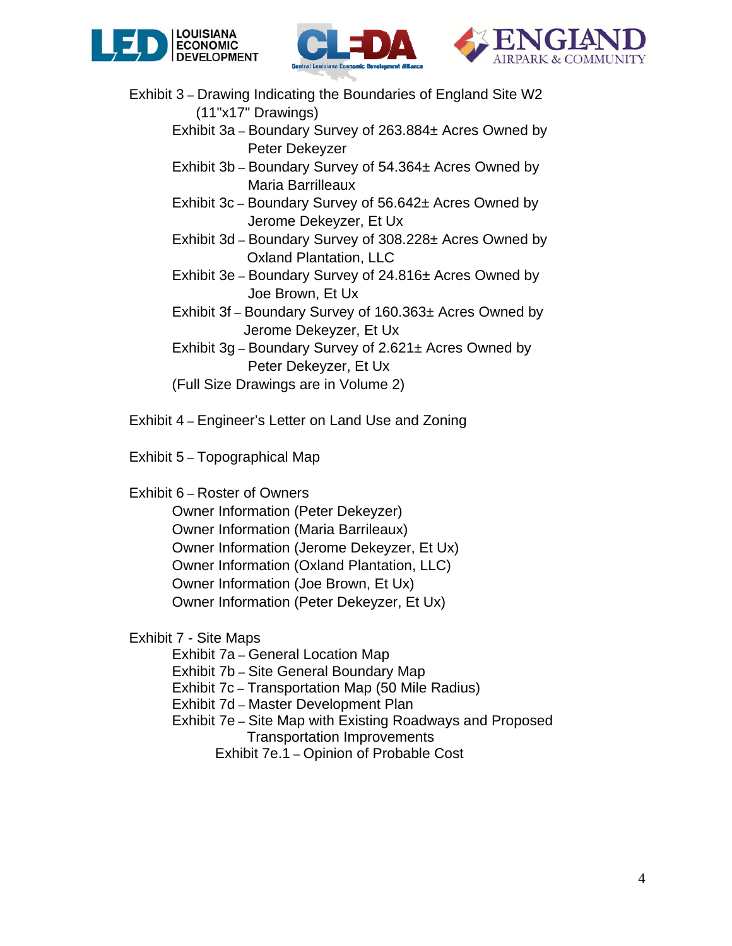





- Exhibit 3 Drawing Indicating the Boundaries of England Site W2 (11"x17" Drawings)
	- Exhibit 3a Boundary Survey of 263.884± Acres Owned by Peter Dekeyzer
	- Exhibit 3b Boundary Survey of 54.364± Acres Owned by Maria Barrilleaux
	- Exhibit 3c Boundary Survey of 56.642± Acres Owned by Jerome Dekeyzer, Et Ux
	- Exhibit 3d Boundary Survey of 308.228± Acres Owned by Oxland Plantation, LLC
	- Exhibit 3e Boundary Survey of 24.816± Acres Owned by Joe Brown, Et Ux
	- Exhibit 3f Boundary Survey of 160.363± Acres Owned by Jerome Dekeyzer, Et Ux
	- Exhibit 3g Boundary Survey of 2.621± Acres Owned by Peter Dekeyzer, Et Ux
	- (Full Size Drawings are in Volume 2)
- Exhibit 4 Engineer's Letter on Land Use and Zoning
- Exhibit 5 Topographical Map
- Exhibit 6 Roster of Owners
	- Owner Information (Peter Dekeyzer) Owner Information (Maria Barrileaux) Owner Information (Jerome Dekeyzer, Et Ux) Owner Information (Oxland Plantation, LLC) Owner Information (Joe Brown, Et Ux) Owner Information (Peter Dekeyzer, Et Ux)
- Exhibit 7 Site Maps
	- Exhibit 7a General Location Map
	- Exhibit 7b Site General Boundary Map
	- Exhibit 7c Transportation Map (50 Mile Radius)
	- Exhibit 7d Master Development Plan
	- Exhibit 7e Site Map with Existing Roadways and Proposed Transportation Improvements
		- Exhibit 7e.1 Opinion of Probable Cost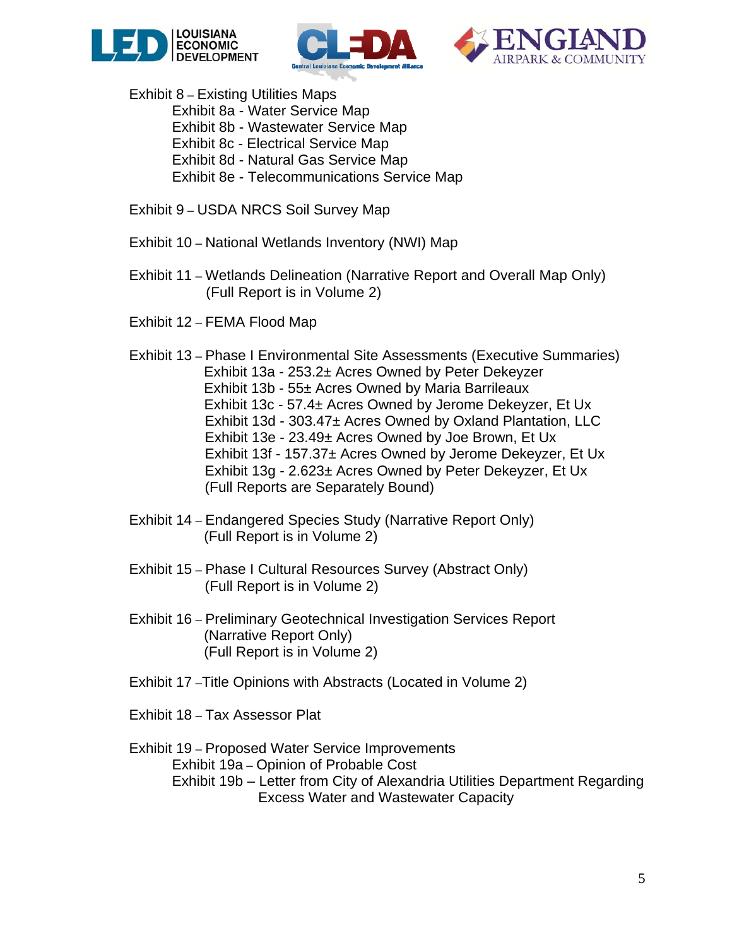





Exhibit 8 – Existing Utilities Maps

- Exhibit 8a Water Service Map
	- Exhibit 8b Wastewater Service Map
	- Exhibit 8c Electrical Service Map
	- Exhibit 8d Natural Gas Service Map
	- Exhibit 8e Telecommunications Service Map
- Exhibit 9 USDA NRCS Soil Survey Map
- Exhibit 10 National Wetlands Inventory (NWI) Map
- Exhibit 11 Wetlands Delineation (Narrative Report and Overall Map Only) (Full Report is in Volume 2)
- Exhibit 12 FEMA Flood Map
- Exhibit 13 Phase I Environmental Site Assessments (Executive Summaries) Exhibit 13a - 253.2± Acres Owned by Peter Dekeyzer Exhibit 13b - 55± Acres Owned by Maria Barrileaux Exhibit 13c - 57.4± Acres Owned by Jerome Dekeyzer, Et Ux Exhibit 13d - 303.47± Acres Owned by Oxland Plantation, LLC Exhibit 13e - 23.49± Acres Owned by Joe Brown, Et Ux Exhibit 13f - 157.37± Acres Owned by Jerome Dekeyzer, Et Ux Exhibit 13g - 2.623± Acres Owned by Peter Dekeyzer, Et Ux (Full Reports are Separately Bound)
- Exhibit 14 Endangered Species Study (Narrative Report Only) (Full Report is in Volume 2)
- Exhibit 15 Phase I Cultural Resources Survey (Abstract Only) (Full Report is in Volume 2)
- Exhibit 16 Preliminary Geotechnical Investigation Services Report (Narrative Report Only) (Full Report is in Volume 2)
- Exhibit 17 –Title Opinions with Abstracts (Located in Volume 2)
- Exhibit 18 Tax Assessor Plat
- Exhibit 19 Proposed Water Service Improvements Exhibit 19a – Opinion of Probable Cost Exhibit 19b – Letter from City of Alexandria Utilities Department Regarding Excess Water and Wastewater Capacity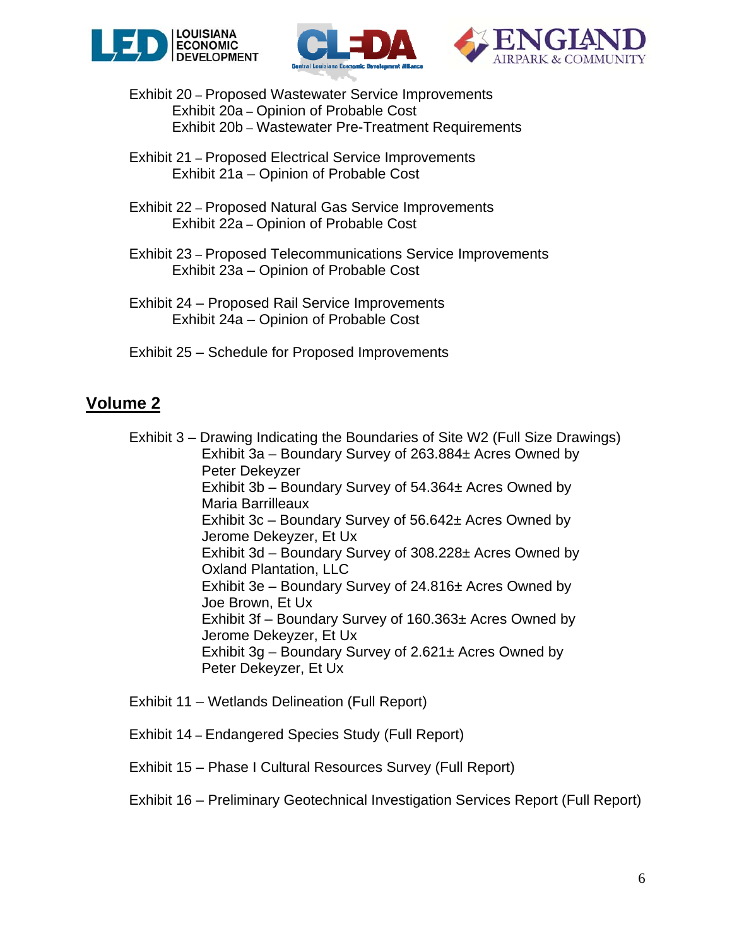





Exhibit 20 – Proposed Wastewater Service Improvements Exhibit 20a – Opinion of Probable Cost Exhibit 20b – Wastewater Pre-Treatment Requirements

- Exhibit 21 Proposed Electrical Service Improvements Exhibit 21a – Opinion of Probable Cost
- Exhibit 22 Proposed Natural Gas Service Improvements Exhibit 22a – Opinion of Probable Cost
- Exhibit 23 Proposed Telecommunications Service Improvements Exhibit 23a – Opinion of Probable Cost
- Exhibit 24 Proposed Rail Service Improvements Exhibit 24a – Opinion of Probable Cost
- Exhibit 25 Schedule for Proposed Improvements

## **Volume 2**

 Exhibit 3 – Drawing Indicating the Boundaries of Site W2 (Full Size Drawings) Exhibit 3a – Boundary Survey of 263.884± Acres Owned by Peter Dekeyzer Exhibit 3b – Boundary Survey of 54.364± Acres Owned by Maria Barrilleaux Exhibit 3c – Boundary Survey of 56.642± Acres Owned by Jerome Dekeyzer, Et Ux Exhibit 3d – Boundary Survey of 308.228± Acres Owned by Oxland Plantation, LLC Exhibit 3e – Boundary Survey of 24.816± Acres Owned by Joe Brown, Et Ux Exhibit 3f – Boundary Survey of 160.363± Acres Owned by Jerome Dekeyzer, Et Ux Exhibit  $3g$  – Boundary Survey of 2.621 $\pm$  Acres Owned by Peter Dekeyzer, Et Ux

- Exhibit 11 Wetlands Delineation (Full Report)
- Exhibit 14 Endangered Species Study (Full Report)
- Exhibit 15 Phase I Cultural Resources Survey (Full Report)

### Exhibit 16 – Preliminary Geotechnical Investigation Services Report (Full Report)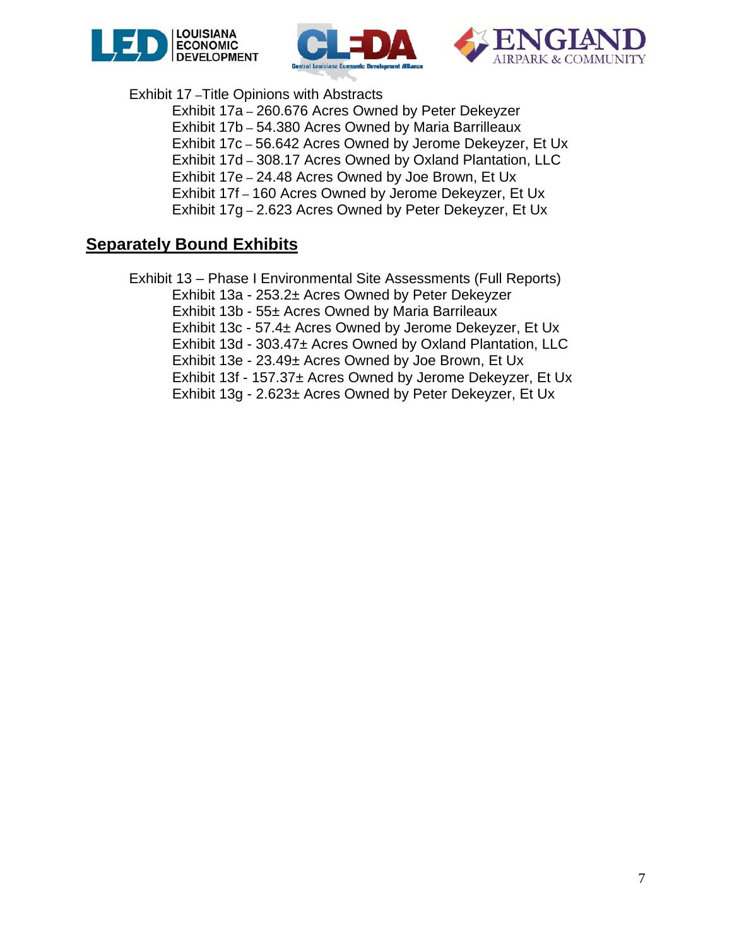





Exhibit 17 –Title Opinions with Abstracts

 Exhibit 17a – 260.676 Acres Owned by Peter Dekeyzer Exhibit 17b – 54.380 Acres Owned by Maria Barrilleaux Exhibit 17c – 56.642 Acres Owned by Jerome Dekeyzer, Et Ux Exhibit 17d – 308.17 Acres Owned by Oxland Plantation, LLC Exhibit 17e – 24.48 Acres Owned by Joe Brown, Et Ux Exhibit 17f – 160 Acres Owned by Jerome Dekeyzer, Et Ux Exhibit 17g – 2.623 Acres Owned by Peter Dekeyzer, Et Ux

### **Separately Bound Exhibits**

 Exhibit 13 – Phase I Environmental Site Assessments (Full Reports) Exhibit 13a - 253.2± Acres Owned by Peter Dekeyzer Exhibit 13b - 55± Acres Owned by Maria Barrileaux Exhibit 13c - 57.4± Acres Owned by Jerome Dekeyzer, Et Ux Exhibit 13d - 303.47± Acres Owned by Oxland Plantation, LLC Exhibit 13e - 23.49± Acres Owned by Joe Brown, Et Ux Exhibit 13f - 157.37± Acres Owned by Jerome Dekeyzer, Et Ux Exhibit 13g - 2.623± Acres Owned by Peter Dekeyzer, Et Ux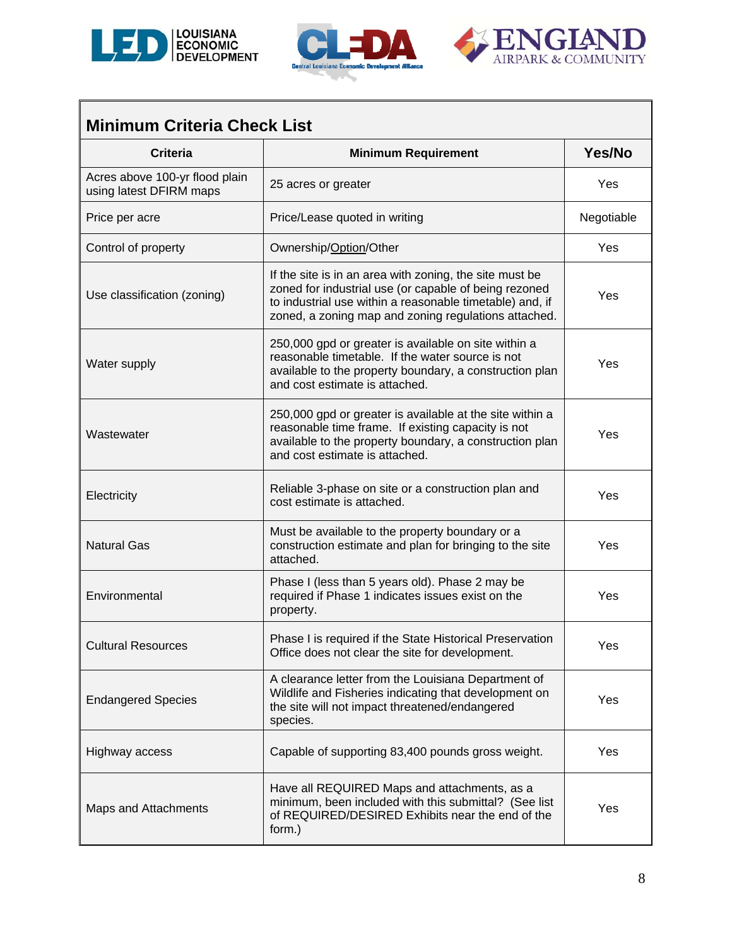





| <b>Minimum Criteria Check List</b>                        |                                                                                                                                                                                                                                      |            |  |  |  |
|-----------------------------------------------------------|--------------------------------------------------------------------------------------------------------------------------------------------------------------------------------------------------------------------------------------|------------|--|--|--|
| <b>Criteria</b>                                           | <b>Minimum Requirement</b>                                                                                                                                                                                                           | Yes/No     |  |  |  |
| Acres above 100-yr flood plain<br>using latest DFIRM maps | 25 acres or greater                                                                                                                                                                                                                  | Yes        |  |  |  |
| Price per acre                                            | Price/Lease quoted in writing                                                                                                                                                                                                        | Negotiable |  |  |  |
| Control of property                                       | Ownership/Option/Other                                                                                                                                                                                                               | Yes        |  |  |  |
| Use classification (zoning)                               | If the site is in an area with zoning, the site must be<br>zoned for industrial use (or capable of being rezoned<br>to industrial use within a reasonable timetable) and, if<br>zoned, a zoning map and zoning regulations attached. | Yes        |  |  |  |
| Water supply                                              | 250,000 gpd or greater is available on site within a<br>reasonable timetable. If the water source is not<br>available to the property boundary, a construction plan<br>and cost estimate is attached.                                | Yes        |  |  |  |
| Wastewater                                                | 250,000 gpd or greater is available at the site within a<br>reasonable time frame. If existing capacity is not<br>available to the property boundary, a construction plan<br>and cost estimate is attached.                          | Yes        |  |  |  |
| Electricity                                               | Reliable 3-phase on site or a construction plan and<br>cost estimate is attached.                                                                                                                                                    | Yes        |  |  |  |
| <b>Natural Gas</b>                                        | Must be available to the property boundary or a<br>construction estimate and plan for bringing to the site<br>attached.                                                                                                              | Yes        |  |  |  |
| Environmental                                             | Phase I (less than 5 years old). Phase 2 may be<br>required if Phase 1 indicates issues exist on the<br>property.                                                                                                                    | Yes        |  |  |  |
| <b>Cultural Resources</b>                                 | Phase I is required if the State Historical Preservation<br>Office does not clear the site for development.                                                                                                                          | Yes        |  |  |  |
| <b>Endangered Species</b>                                 | A clearance letter from the Louisiana Department of<br>Wildlife and Fisheries indicating that development on<br>the site will not impact threatened/endangered<br>species.                                                           | Yes        |  |  |  |
| Highway access                                            | Capable of supporting 83,400 pounds gross weight.                                                                                                                                                                                    | Yes        |  |  |  |
| Maps and Attachments                                      | Have all REQUIRED Maps and attachments, as a<br>minimum, been included with this submittal? (See list<br>of REQUIRED/DESIRED Exhibits near the end of the<br>form.)                                                                  | Yes        |  |  |  |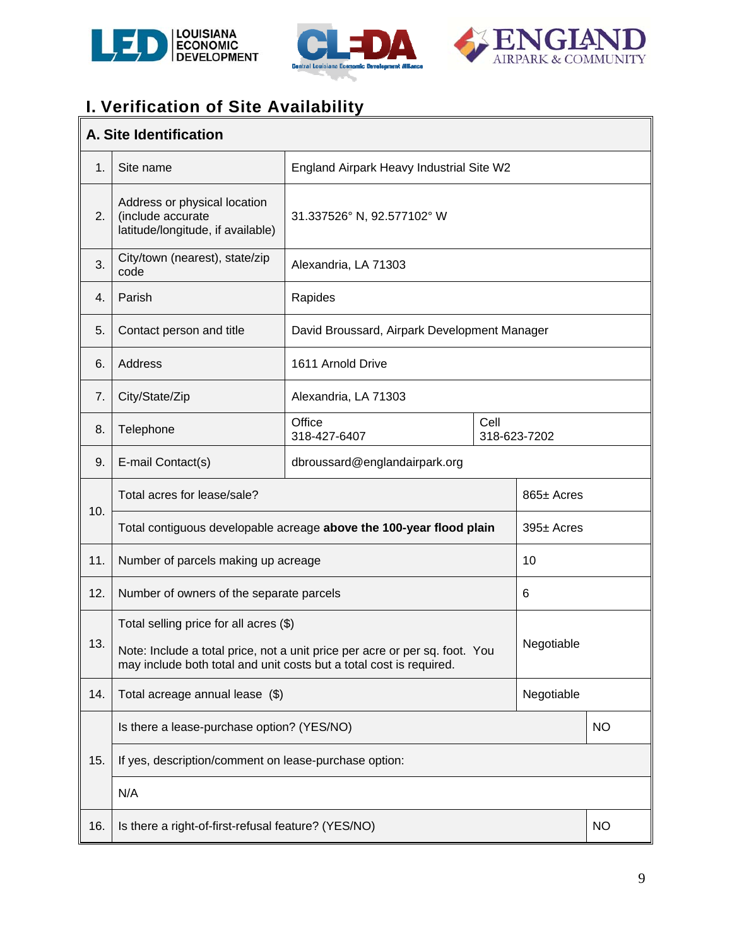





# **I. Verification of Site Availability**

|     | A. Site Identification                                                                                                                                           |                                                                     |  |                 |           |  |
|-----|------------------------------------------------------------------------------------------------------------------------------------------------------------------|---------------------------------------------------------------------|--|-----------------|-----------|--|
| 1.  | Site name                                                                                                                                                        | England Airpark Heavy Industrial Site W2                            |  |                 |           |  |
| 2.  | Address or physical location<br>(include accurate<br>latitude/longitude, if available)                                                                           | 31.337526° N, 92.577102° W                                          |  |                 |           |  |
| 3.  | City/town (nearest), state/zip<br>code                                                                                                                           | Alexandria, LA 71303                                                |  |                 |           |  |
| 4.  | Parish                                                                                                                                                           | Rapides                                                             |  |                 |           |  |
| 5.  | Contact person and title                                                                                                                                         | David Broussard, Airpark Development Manager                        |  |                 |           |  |
| 6.  | Address                                                                                                                                                          | 1611 Arnold Drive                                                   |  |                 |           |  |
| 7.  | City/State/Zip                                                                                                                                                   | Alexandria, LA 71303                                                |  |                 |           |  |
| 8.  | Telephone                                                                                                                                                        | Office<br>Cell<br>318-427-6407<br>318-623-7202                      |  |                 |           |  |
| 9.  | E-mail Contact(s)                                                                                                                                                | dbroussard@englandairpark.org                                       |  |                 |           |  |
|     | Total acres for lease/sale?                                                                                                                                      |                                                                     |  | $865 \pm$ Acres |           |  |
| 10. |                                                                                                                                                                  | Total contiguous developable acreage above the 100-year flood plain |  | 395± Acres      |           |  |
| 11. | Number of parcels making up acreage                                                                                                                              |                                                                     |  | 10              |           |  |
| 12. | Number of owners of the separate parcels                                                                                                                         |                                                                     |  | 6               |           |  |
|     | Total selling price for all acres (\$)                                                                                                                           |                                                                     |  |                 |           |  |
| 13. | Negotiable<br>Note: Include a total price, not a unit price per acre or per sq. foot. You<br>may include both total and unit costs but a total cost is required. |                                                                     |  |                 |           |  |
| 14. | Total acreage annual lease (\$)                                                                                                                                  |                                                                     |  | Negotiable      |           |  |
|     | Is there a lease-purchase option? (YES/NO)                                                                                                                       |                                                                     |  |                 | <b>NO</b> |  |
| 15. | If yes, description/comment on lease-purchase option:                                                                                                            |                                                                     |  |                 |           |  |
|     | N/A                                                                                                                                                              |                                                                     |  |                 |           |  |
| 16. | Is there a right-of-first-refusal feature? (YES/NO)                                                                                                              |                                                                     |  |                 | <b>NO</b> |  |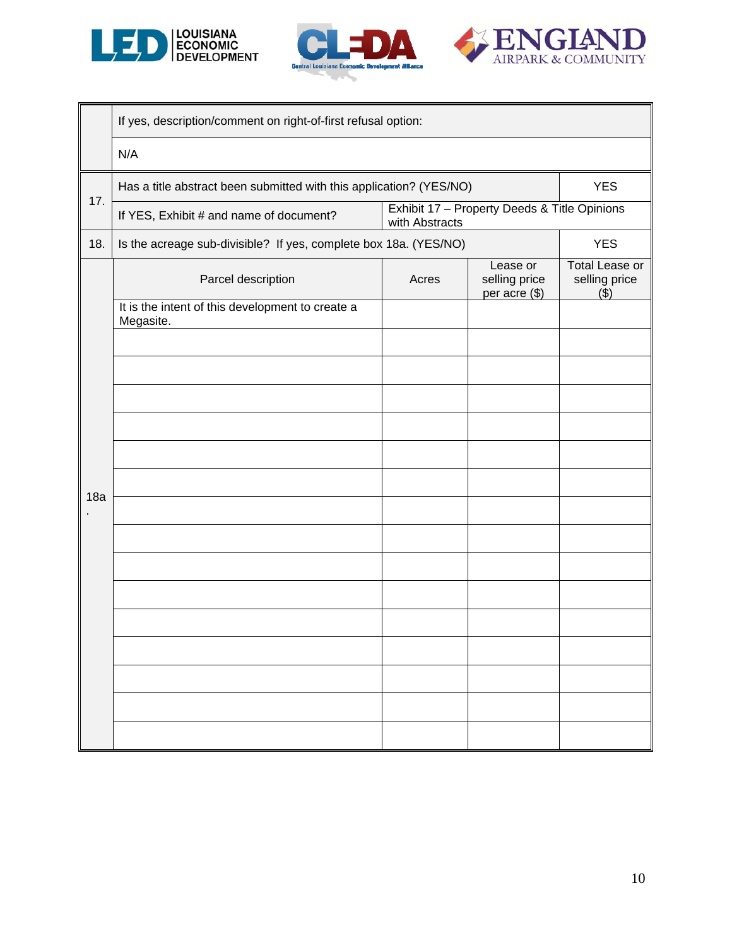





|                                                                                            | If yes, description/comment on right-of-first refusal option:                                           |                                              |  |  |  |  |  |
|--------------------------------------------------------------------------------------------|---------------------------------------------------------------------------------------------------------|----------------------------------------------|--|--|--|--|--|
|                                                                                            | N/A                                                                                                     |                                              |  |  |  |  |  |
| 17.                                                                                        | <b>YES</b><br>Has a title abstract been submitted with this application? (YES/NO)                       |                                              |  |  |  |  |  |
|                                                                                            | If YES, Exhibit # and name of document?                                                                 | Exhibit 17 - Property Deeds & Title Opinions |  |  |  |  |  |
| 18.                                                                                        | <b>YES</b><br>Is the acreage sub-divisible? If yes, complete box 18a. (YES/NO)<br><b>Total Lease or</b> |                                              |  |  |  |  |  |
| Lease or<br>selling price<br>selling price<br>Parcel description<br>Acres<br>per acre (\$) |                                                                                                         |                                              |  |  |  |  |  |
|                                                                                            | It is the intent of this development to create a<br>Megasite.                                           |                                              |  |  |  |  |  |
|                                                                                            |                                                                                                         |                                              |  |  |  |  |  |
|                                                                                            |                                                                                                         |                                              |  |  |  |  |  |
|                                                                                            |                                                                                                         |                                              |  |  |  |  |  |
|                                                                                            |                                                                                                         |                                              |  |  |  |  |  |
|                                                                                            |                                                                                                         |                                              |  |  |  |  |  |
| 18a                                                                                        |                                                                                                         |                                              |  |  |  |  |  |
|                                                                                            |                                                                                                         |                                              |  |  |  |  |  |
|                                                                                            |                                                                                                         |                                              |  |  |  |  |  |
|                                                                                            |                                                                                                         |                                              |  |  |  |  |  |
|                                                                                            |                                                                                                         |                                              |  |  |  |  |  |
|                                                                                            |                                                                                                         |                                              |  |  |  |  |  |
|                                                                                            |                                                                                                         |                                              |  |  |  |  |  |
|                                                                                            |                                                                                                         |                                              |  |  |  |  |  |
|                                                                                            |                                                                                                         |                                              |  |  |  |  |  |
|                                                                                            |                                                                                                         |                                              |  |  |  |  |  |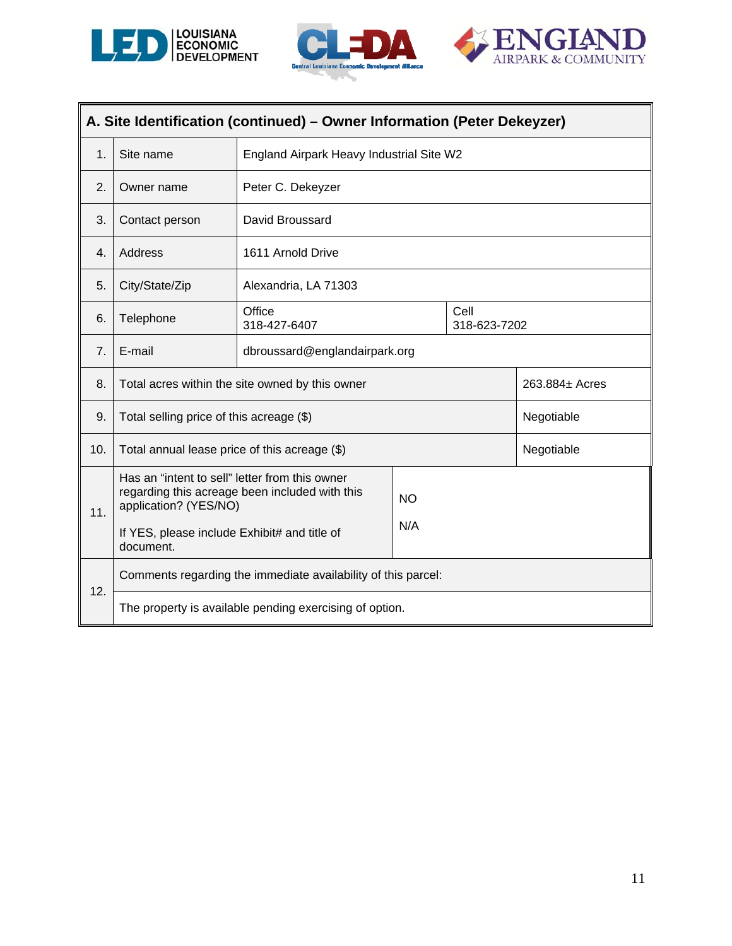

j.





L,

| A. Site Identification (continued) - Owner Information (Peter Dekeyzer) |                                                                                                                                                                                                            |                                                               |  |  |                |
|-------------------------------------------------------------------------|------------------------------------------------------------------------------------------------------------------------------------------------------------------------------------------------------------|---------------------------------------------------------------|--|--|----------------|
| 1.                                                                      | Site name                                                                                                                                                                                                  | England Airpark Heavy Industrial Site W2                      |  |  |                |
| 2.                                                                      | Owner name                                                                                                                                                                                                 | Peter C. Dekeyzer                                             |  |  |                |
| 3.                                                                      | Contact person                                                                                                                                                                                             | David Broussard                                               |  |  |                |
| 4.                                                                      | Address                                                                                                                                                                                                    | 1611 Arnold Drive                                             |  |  |                |
| 5.                                                                      | City/State/Zip                                                                                                                                                                                             | Alexandria, LA 71303                                          |  |  |                |
| 6.                                                                      | Telephone                                                                                                                                                                                                  | Office<br>Cell<br>318-427-6407<br>318-623-7202                |  |  |                |
| 7.                                                                      | E-mail                                                                                                                                                                                                     | dbroussard@englandairpark.org                                 |  |  |                |
| 8.                                                                      |                                                                                                                                                                                                            | Total acres within the site owned by this owner               |  |  | 263.884± Acres |
| 9.                                                                      | Total selling price of this acreage (\$)                                                                                                                                                                   |                                                               |  |  | Negotiable     |
| 10.                                                                     | Total annual lease price of this acreage (\$)                                                                                                                                                              |                                                               |  |  | Negotiable     |
| 11.                                                                     | Has an "intent to sell" letter from this owner<br>regarding this acreage been included with this<br><b>NO</b><br>application? (YES/NO)<br>N/A<br>If YES, please include Exhibit# and title of<br>document. |                                                               |  |  |                |
|                                                                         |                                                                                                                                                                                                            | Comments regarding the immediate availability of this parcel: |  |  |                |
| 12.                                                                     |                                                                                                                                                                                                            | The property is available pending exercising of option.       |  |  |                |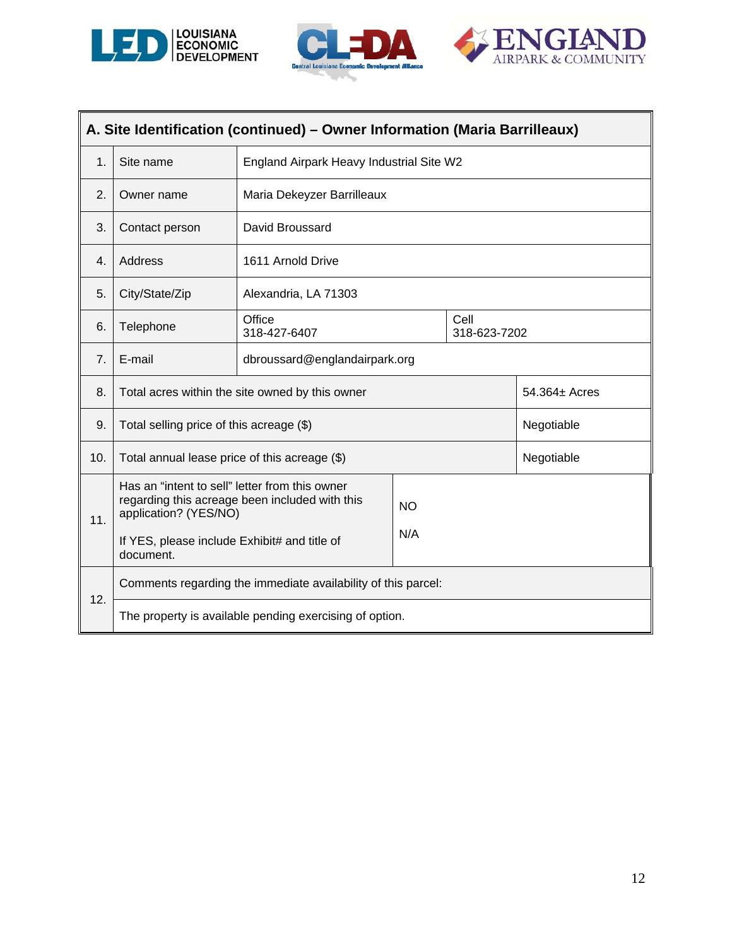





| A. Site Identification (continued) - Owner Information (Maria Barrilleaux) |                                                                         |                                                               |                      |  |               |
|----------------------------------------------------------------------------|-------------------------------------------------------------------------|---------------------------------------------------------------|----------------------|--|---------------|
| $\mathbf 1$ .                                                              | Site name                                                               | England Airpark Heavy Industrial Site W2                      |                      |  |               |
| 2.                                                                         | Owner name                                                              | Maria Dekeyzer Barrilleaux                                    |                      |  |               |
| 3.                                                                         | Contact person                                                          | David Broussard                                               |                      |  |               |
| $\overline{4}$ .                                                           | Address                                                                 | 1611 Arnold Drive                                             |                      |  |               |
| 5.                                                                         | City/State/Zip                                                          | Alexandria, LA 71303                                          |                      |  |               |
| 6.                                                                         | Telephone                                                               | Office<br>318-427-6407                                        | Cell<br>318-623-7202 |  |               |
| 7 <sub>1</sub>                                                             | E-mail                                                                  | dbroussard@englandairpark.org                                 |                      |  |               |
| 8.                                                                         |                                                                         | Total acres within the site owned by this owner               |                      |  | 54.364± Acres |
| 9.                                                                         | Total selling price of this acreage (\$)                                |                                                               |                      |  | Negotiable    |
| 10.                                                                        | Total annual lease price of this acreage (\$)                           |                                                               |                      |  | Negotiable    |
| 11.                                                                        | Has an "intent to sell" letter from this owner<br>application? (YES/NO) | regarding this acreage been included with this                | <b>NO</b><br>N/A     |  |               |
|                                                                            | If YES, please include Exhibit# and title of<br>document.               |                                                               |                      |  |               |
| 12.                                                                        |                                                                         | Comments regarding the immediate availability of this parcel: |                      |  |               |
|                                                                            |                                                                         | The property is available pending exercising of option.       |                      |  |               |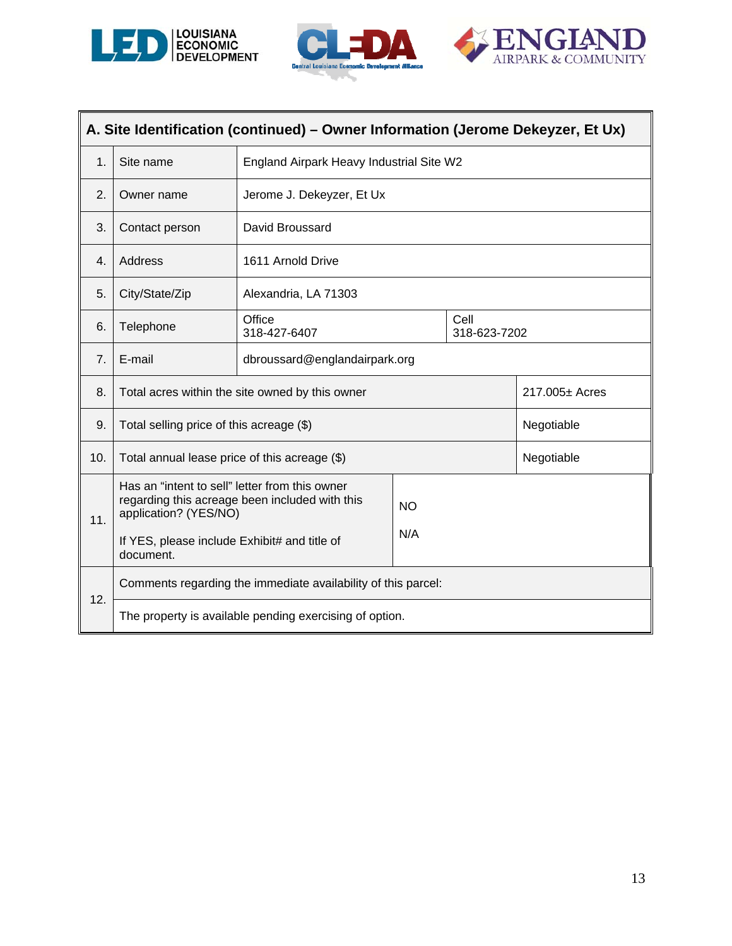





|     | A. Site Identification (continued) – Owner Information (Jerome Dekeyzer, Et Ux)                                                                                                                            |                                                 |                                          |  |                |  |
|-----|------------------------------------------------------------------------------------------------------------------------------------------------------------------------------------------------------------|-------------------------------------------------|------------------------------------------|--|----------------|--|
| 1.  | Site name                                                                                                                                                                                                  |                                                 | England Airpark Heavy Industrial Site W2 |  |                |  |
| 2.  | Owner name                                                                                                                                                                                                 | Jerome J. Dekeyzer, Et Ux                       |                                          |  |                |  |
| 3.  | Contact person                                                                                                                                                                                             | David Broussard                                 |                                          |  |                |  |
| 4.  | Address                                                                                                                                                                                                    | 1611 Arnold Drive                               |                                          |  |                |  |
| 5.  | City/State/Zip                                                                                                                                                                                             | Alexandria, LA 71303                            |                                          |  |                |  |
| 6.  | Telephone                                                                                                                                                                                                  | Office<br>Cell<br>318-427-6407<br>318-623-7202  |                                          |  |                |  |
| 7.  | E-mail                                                                                                                                                                                                     | dbroussard@englandairpark.org                   |                                          |  |                |  |
| 8.  |                                                                                                                                                                                                            | Total acres within the site owned by this owner |                                          |  | 217.005± Acres |  |
| 9.  | Total selling price of this acreage (\$)                                                                                                                                                                   |                                                 |                                          |  | Negotiable     |  |
| 10. | Total annual lease price of this acreage (\$)                                                                                                                                                              |                                                 |                                          |  | Negotiable     |  |
| 11. | Has an "intent to sell" letter from this owner<br>regarding this acreage been included with this<br><b>NO</b><br>application? (YES/NO)<br>N/A<br>If YES, please include Exhibit# and title of<br>document. |                                                 |                                          |  |                |  |
| 12. | Comments regarding the immediate availability of this parcel:<br>The property is available pending exercising of option.                                                                                   |                                                 |                                          |  |                |  |
|     |                                                                                                                                                                                                            |                                                 |                                          |  |                |  |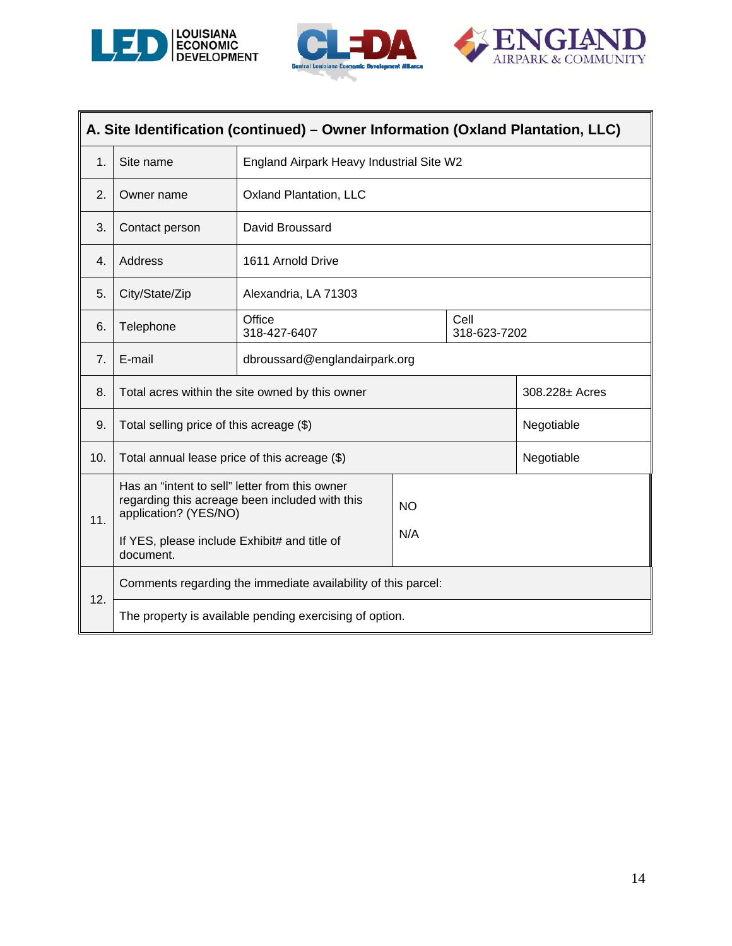





|     | A. Site Identification (continued) - Owner Information (Oxland Plantation, LLC)                                                                                                                            |                                                 |                                          |  |                |  |
|-----|------------------------------------------------------------------------------------------------------------------------------------------------------------------------------------------------------------|-------------------------------------------------|------------------------------------------|--|----------------|--|
| 1.  | Site name                                                                                                                                                                                                  |                                                 | England Airpark Heavy Industrial Site W2 |  |                |  |
| 2.  | Owner name                                                                                                                                                                                                 | <b>Oxland Plantation, LLC</b>                   |                                          |  |                |  |
| 3.  | Contact person                                                                                                                                                                                             | David Broussard                                 |                                          |  |                |  |
| 4.  | Address                                                                                                                                                                                                    | 1611 Arnold Drive                               |                                          |  |                |  |
| 5.  | City/State/Zip                                                                                                                                                                                             | Alexandria, LA 71303                            |                                          |  |                |  |
| 6.  | Telephone                                                                                                                                                                                                  | Office<br>Cell<br>318-427-6407<br>318-623-7202  |                                          |  |                |  |
| 7.  | E-mail                                                                                                                                                                                                     | dbroussard@englandairpark.org                   |                                          |  |                |  |
| 8.  |                                                                                                                                                                                                            | Total acres within the site owned by this owner |                                          |  | 308.228± Acres |  |
| 9.  | Total selling price of this acreage (\$)                                                                                                                                                                   |                                                 |                                          |  | Negotiable     |  |
| 10. | Total annual lease price of this acreage (\$)                                                                                                                                                              |                                                 |                                          |  | Negotiable     |  |
| 11. | Has an "intent to sell" letter from this owner<br>regarding this acreage been included with this<br><b>NO</b><br>application? (YES/NO)<br>N/A<br>If YES, please include Exhibit# and title of<br>document. |                                                 |                                          |  |                |  |
| 12. | Comments regarding the immediate availability of this parcel:<br>The property is available pending exercising of option.                                                                                   |                                                 |                                          |  |                |  |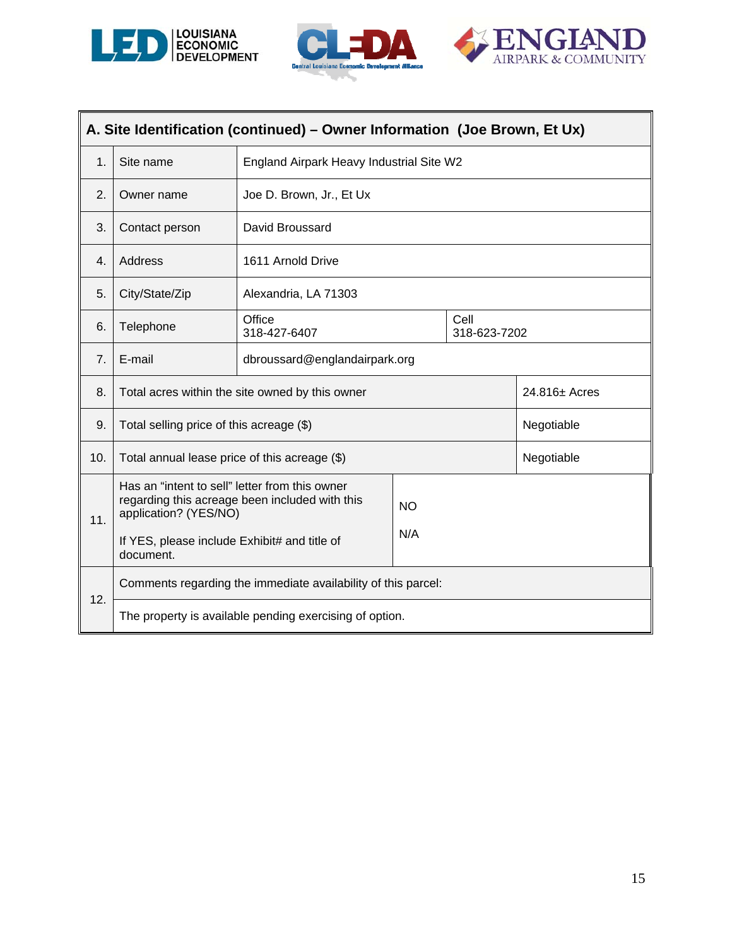





| A. Site Identification (continued) – Owner Information (Joe Brown, Et Ux) |                                                                                                                                                                                                            |                                                 |  |  |               |
|---------------------------------------------------------------------------|------------------------------------------------------------------------------------------------------------------------------------------------------------------------------------------------------------|-------------------------------------------------|--|--|---------------|
| 1.                                                                        | Site name                                                                                                                                                                                                  | England Airpark Heavy Industrial Site W2        |  |  |               |
| 2.                                                                        | Owner name                                                                                                                                                                                                 | Joe D. Brown, Jr., Et Ux                        |  |  |               |
| 3.                                                                        | Contact person                                                                                                                                                                                             | David Broussard                                 |  |  |               |
| $\overline{4}$ .                                                          | Address                                                                                                                                                                                                    | 1611 Arnold Drive                               |  |  |               |
| 5.                                                                        | City/State/Zip                                                                                                                                                                                             | Alexandria, LA 71303                            |  |  |               |
| 6.                                                                        | Telephone                                                                                                                                                                                                  | Office<br>Cell<br>318-427-6407<br>318-623-7202  |  |  |               |
| 7.                                                                        | E-mail                                                                                                                                                                                                     | dbroussard@englandairpark.org                   |  |  |               |
| 8.                                                                        |                                                                                                                                                                                                            | Total acres within the site owned by this owner |  |  | 24.816± Acres |
| 9.                                                                        | Total selling price of this acreage (\$)                                                                                                                                                                   |                                                 |  |  | Negotiable    |
| 10.                                                                       | Total annual lease price of this acreage (\$)                                                                                                                                                              |                                                 |  |  | Negotiable    |
| 11.                                                                       | Has an "intent to sell" letter from this owner<br>regarding this acreage been included with this<br><b>NO</b><br>application? (YES/NO)<br>N/A<br>If YES, please include Exhibit# and title of<br>document. |                                                 |  |  |               |
| 12.                                                                       | Comments regarding the immediate availability of this parcel:                                                                                                                                              |                                                 |  |  |               |
| The property is available pending exercising of option.                   |                                                                                                                                                                                                            |                                                 |  |  |               |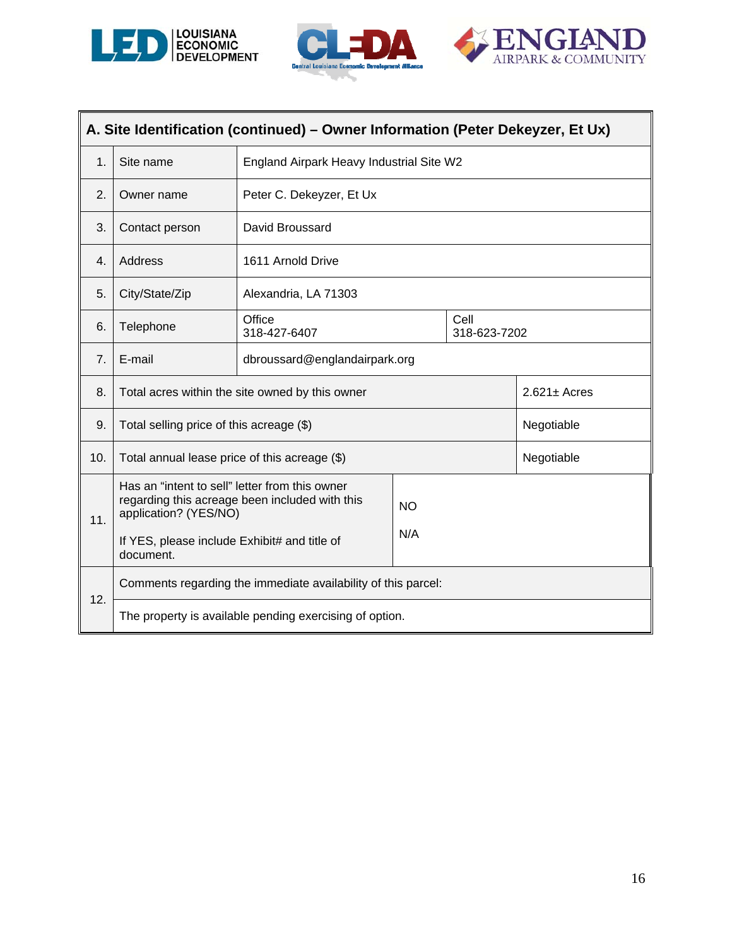





| A. Site Identification (continued) - Owner Information (Peter Dekeyzer, Et Ux) |                                                                                                                                                                                               |                                                               |  |  |                   |
|--------------------------------------------------------------------------------|-----------------------------------------------------------------------------------------------------------------------------------------------------------------------------------------------|---------------------------------------------------------------|--|--|-------------------|
| $\mathbf 1$                                                                    | Site name                                                                                                                                                                                     | England Airpark Heavy Industrial Site W2                      |  |  |                   |
| 2.                                                                             | Owner name                                                                                                                                                                                    | Peter C. Dekeyzer, Et Ux                                      |  |  |                   |
| 3.                                                                             | Contact person                                                                                                                                                                                | David Broussard                                               |  |  |                   |
| $\mathbf{4}$ .                                                                 | Address                                                                                                                                                                                       | 1611 Arnold Drive                                             |  |  |                   |
| 5.                                                                             | City/State/Zip                                                                                                                                                                                | Alexandria, LA 71303                                          |  |  |                   |
| 6.                                                                             | Telephone                                                                                                                                                                                     | Office<br>Cell<br>318-427-6407<br>318-623-7202                |  |  |                   |
| 7.                                                                             | E-mail                                                                                                                                                                                        | dbroussard@englandairpark.org                                 |  |  |                   |
| 8.                                                                             |                                                                                                                                                                                               | Total acres within the site owned by this owner               |  |  | $2.621 \pm$ Acres |
| 9.                                                                             | Total selling price of this acreage (\$)                                                                                                                                                      |                                                               |  |  | Negotiable        |
| 10.                                                                            | Total annual lease price of this acreage (\$)                                                                                                                                                 |                                                               |  |  | Negotiable        |
| 11.                                                                            | Has an "intent to sell" letter from this owner<br>regarding this acreage been included with this<br><b>NO</b><br>application? (YES/NO)<br>N/A<br>If YES, please include Exhibit# and title of |                                                               |  |  |                   |
|                                                                                | document.                                                                                                                                                                                     |                                                               |  |  |                   |
| 12.                                                                            |                                                                                                                                                                                               | Comments regarding the immediate availability of this parcel: |  |  |                   |
| The property is available pending exercising of option.                        |                                                                                                                                                                                               |                                                               |  |  |                   |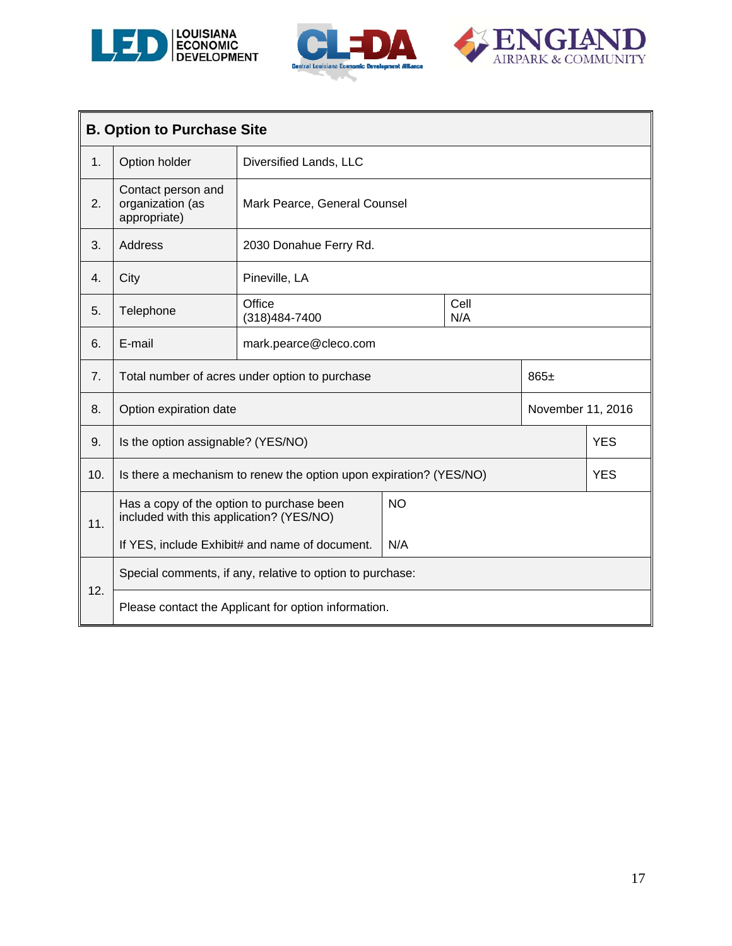





| <b>B. Option to Purchase Site</b> |                                                                                       |                                                                    |             |  |                   |            |
|-----------------------------------|---------------------------------------------------------------------------------------|--------------------------------------------------------------------|-------------|--|-------------------|------------|
| 1.                                | Option holder                                                                         | Diversified Lands, LLC                                             |             |  |                   |            |
| 2.                                | Contact person and<br>organization (as<br>appropriate)                                | Mark Pearce, General Counsel                                       |             |  |                   |            |
| 3.                                | Address                                                                               | 2030 Donahue Ferry Rd.                                             |             |  |                   |            |
| 4.                                | City                                                                                  | Pineville, LA                                                      |             |  |                   |            |
| 5.                                | Telephone                                                                             | Office<br>(318) 484-7400                                           | Cell<br>N/A |  |                   |            |
| 6.                                | E-mail                                                                                | mark.pearce@cleco.com                                              |             |  |                   |            |
| 7.                                |                                                                                       | Total number of acres under option to purchase                     |             |  | $865 \pm$         |            |
| 8.                                | Option expiration date                                                                |                                                                    |             |  | November 11, 2016 |            |
| 9.                                | Is the option assignable? (YES/NO)                                                    |                                                                    |             |  |                   | <b>YES</b> |
| 10.                               |                                                                                       | Is there a mechanism to renew the option upon expiration? (YES/NO) |             |  |                   | <b>YES</b> |
| 11.                               | Has a copy of the option to purchase been<br>included with this application? (YES/NO) |                                                                    | <b>NO</b>   |  |                   |            |
|                                   |                                                                                       | If YES, include Exhibit# and name of document.                     | N/A         |  |                   |            |
| 12.                               | Special comments, if any, relative to option to purchase:                             |                                                                    |             |  |                   |            |
|                                   |                                                                                       | Please contact the Applicant for option information.               |             |  |                   |            |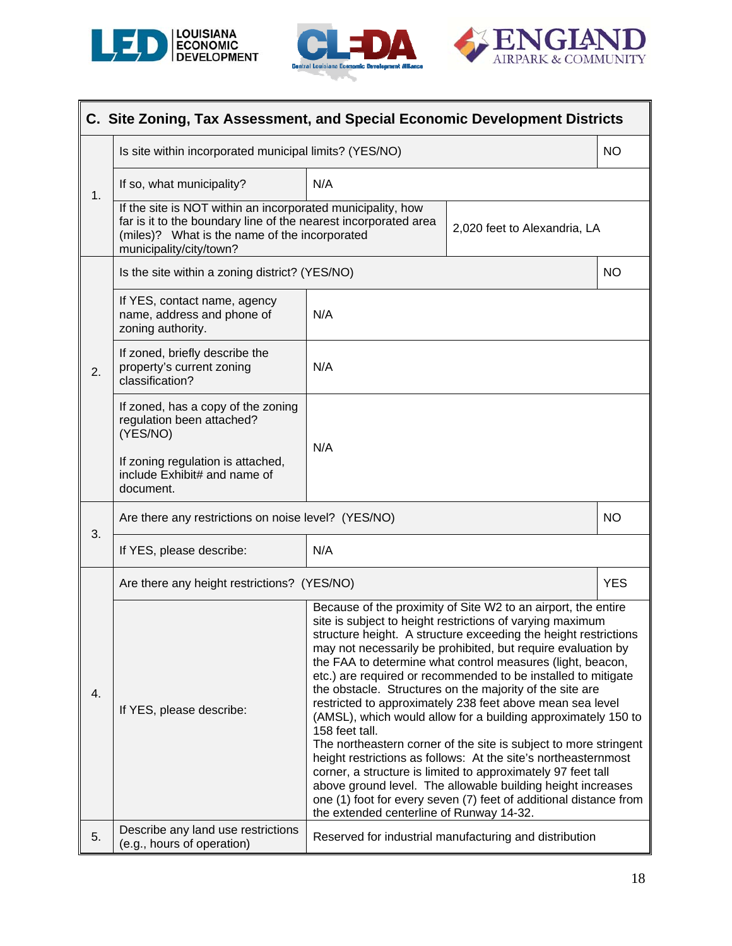





|    | C. Site Zoning, Tax Assessment, and Special Economic Development Districts                                                                                                                                 |                                                                                                                                                                                                                                                                                                                                                                                                                                                                                                                                                                                                                                                                                                                                                                                                                                                                                                                                                    |  |            |  |  |
|----|------------------------------------------------------------------------------------------------------------------------------------------------------------------------------------------------------------|----------------------------------------------------------------------------------------------------------------------------------------------------------------------------------------------------------------------------------------------------------------------------------------------------------------------------------------------------------------------------------------------------------------------------------------------------------------------------------------------------------------------------------------------------------------------------------------------------------------------------------------------------------------------------------------------------------------------------------------------------------------------------------------------------------------------------------------------------------------------------------------------------------------------------------------------------|--|------------|--|--|
|    | Is site within incorporated municipal limits? (YES/NO)                                                                                                                                                     |                                                                                                                                                                                                                                                                                                                                                                                                                                                                                                                                                                                                                                                                                                                                                                                                                                                                                                                                                    |  | <b>NO</b>  |  |  |
| 1. | If so, what municipality?                                                                                                                                                                                  | N/A                                                                                                                                                                                                                                                                                                                                                                                                                                                                                                                                                                                                                                                                                                                                                                                                                                                                                                                                                |  |            |  |  |
|    | If the site is NOT within an incorporated municipality, how<br>far is it to the boundary line of the nearest incorporated area<br>(miles)? What is the name of the incorporated<br>municipality/city/town? | 2,020 feet to Alexandria, LA                                                                                                                                                                                                                                                                                                                                                                                                                                                                                                                                                                                                                                                                                                                                                                                                                                                                                                                       |  |            |  |  |
|    | Is the site within a zoning district? (YES/NO)                                                                                                                                                             |                                                                                                                                                                                                                                                                                                                                                                                                                                                                                                                                                                                                                                                                                                                                                                                                                                                                                                                                                    |  | <b>NO</b>  |  |  |
|    | If YES, contact name, agency<br>name, address and phone of<br>zoning authority.                                                                                                                            | N/A                                                                                                                                                                                                                                                                                                                                                                                                                                                                                                                                                                                                                                                                                                                                                                                                                                                                                                                                                |  |            |  |  |
| 2. | If zoned, briefly describe the<br>property's current zoning<br>classification?                                                                                                                             | N/A                                                                                                                                                                                                                                                                                                                                                                                                                                                                                                                                                                                                                                                                                                                                                                                                                                                                                                                                                |  |            |  |  |
|    | If zoned, has a copy of the zoning<br>regulation been attached?<br>(YES/NO)                                                                                                                                | N/A                                                                                                                                                                                                                                                                                                                                                                                                                                                                                                                                                                                                                                                                                                                                                                                                                                                                                                                                                |  |            |  |  |
|    | If zoning regulation is attached,<br>include Exhibit# and name of<br>document.                                                                                                                             |                                                                                                                                                                                                                                                                                                                                                                                                                                                                                                                                                                                                                                                                                                                                                                                                                                                                                                                                                    |  |            |  |  |
| 3. | Are there any restrictions on noise level? (YES/NO)                                                                                                                                                        |                                                                                                                                                                                                                                                                                                                                                                                                                                                                                                                                                                                                                                                                                                                                                                                                                                                                                                                                                    |  | <b>NO</b>  |  |  |
|    | N/A<br>If YES, please describe:                                                                                                                                                                            |                                                                                                                                                                                                                                                                                                                                                                                                                                                                                                                                                                                                                                                                                                                                                                                                                                                                                                                                                    |  |            |  |  |
|    | Are there any height restrictions? (YES/NO)                                                                                                                                                                |                                                                                                                                                                                                                                                                                                                                                                                                                                                                                                                                                                                                                                                                                                                                                                                                                                                                                                                                                    |  | <b>YES</b> |  |  |
| 4. | If YES, please describe:                                                                                                                                                                                   | Because of the proximity of Site W2 to an airport, the entire<br>site is subject to height restrictions of varying maximum<br>structure height. A structure exceeding the height restrictions<br>may not necessarily be prohibited, but require evaluation by<br>the FAA to determine what control measures (light, beacon,<br>etc.) are required or recommended to be installed to mitigate<br>the obstacle. Structures on the majority of the site are<br>restricted to approximately 238 feet above mean sea level<br>(AMSL), which would allow for a building approximately 150 to<br>158 feet tall.<br>The northeastern corner of the site is subject to more stringent<br>height restrictions as follows: At the site's northeasternmost<br>corner, a structure is limited to approximately 97 feet tall<br>above ground level. The allowable building height increases<br>one (1) foot for every seven (7) feet of additional distance from |  |            |  |  |
| 5. | Describe any land use restrictions<br>(e.g., hours of operation)                                                                                                                                           | the extended centerline of Runway 14-32.<br>Reserved for industrial manufacturing and distribution                                                                                                                                                                                                                                                                                                                                                                                                                                                                                                                                                                                                                                                                                                                                                                                                                                                 |  |            |  |  |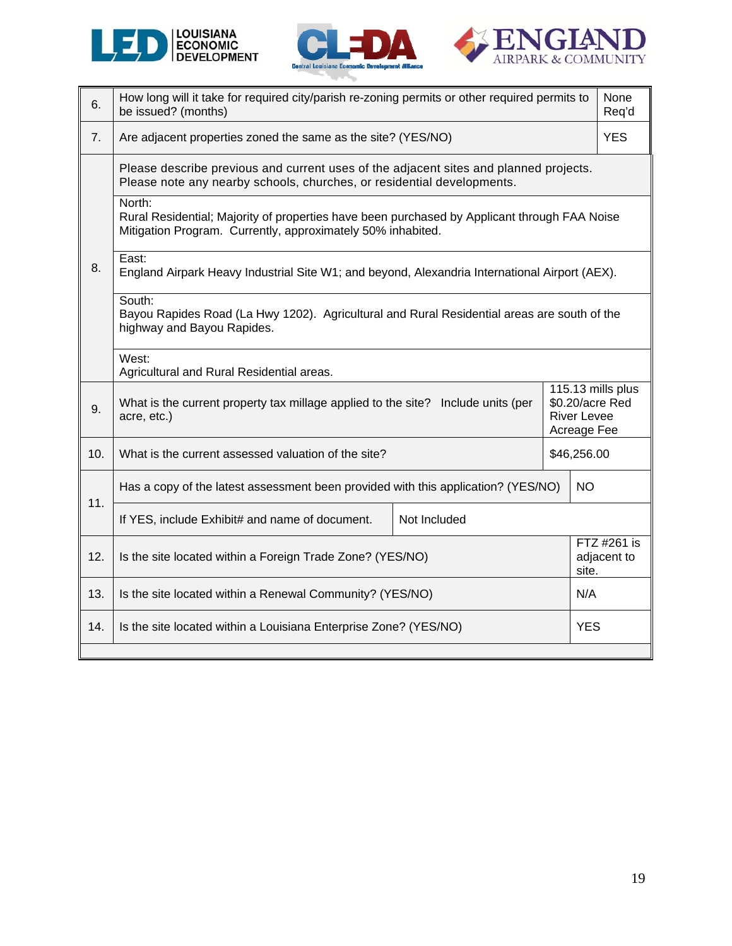





| 6.  | How long will it take for required city/parish re-zoning permits or other required permits to<br>be issued? (months)                                                         |              |             | None<br>Req'd                       |  |
|-----|------------------------------------------------------------------------------------------------------------------------------------------------------------------------------|--------------|-------------|-------------------------------------|--|
| 7.  | Are adjacent properties zoned the same as the site? (YES/NO)                                                                                                                 |              |             | <b>YES</b>                          |  |
|     | Please describe previous and current uses of the adjacent sites and planned projects.<br>Please note any nearby schools, churches, or residential developments.              |              |             |                                     |  |
|     | North:<br>Rural Residential; Majority of properties have been purchased by Applicant through FAA Noise<br>Mitigation Program. Currently, approximately 50% inhabited.        |              |             |                                     |  |
| 8.  | East:<br>England Airpark Heavy Industrial Site W1; and beyond, Alexandria International Airport (AEX).                                                                       |              |             |                                     |  |
|     | South:<br>Bayou Rapides Road (La Hwy 1202). Agricultural and Rural Residential areas are south of the<br>highway and Bayou Rapides.                                          |              |             |                                     |  |
|     | West:<br>Agricultural and Rural Residential areas.                                                                                                                           |              |             |                                     |  |
| 9.  | 115.13 mills plus<br>What is the current property tax millage applied to the site? Include units (per<br>\$0.20/acre Red<br><b>River Levee</b><br>acre, etc.)<br>Acreage Fee |              |             |                                     |  |
| 10. | What is the current assessed valuation of the site?                                                                                                                          |              | \$46,256.00 |                                     |  |
| 11. | Has a copy of the latest assessment been provided with this application? (YES/NO)                                                                                            |              |             |                                     |  |
|     | If YES, include Exhibit# and name of document.                                                                                                                               | Not Included |             |                                     |  |
| 12. | Is the site located within a Foreign Trade Zone? (YES/NO)                                                                                                                    |              |             | FTZ #261 is<br>adjacent to<br>site. |  |
| 13. | Is the site located within a Renewal Community? (YES/NO)                                                                                                                     |              |             | N/A                                 |  |
| 14. | Is the site located within a Louisiana Enterprise Zone? (YES/NO)                                                                                                             |              | <b>YES</b>  |                                     |  |
|     |                                                                                                                                                                              |              |             |                                     |  |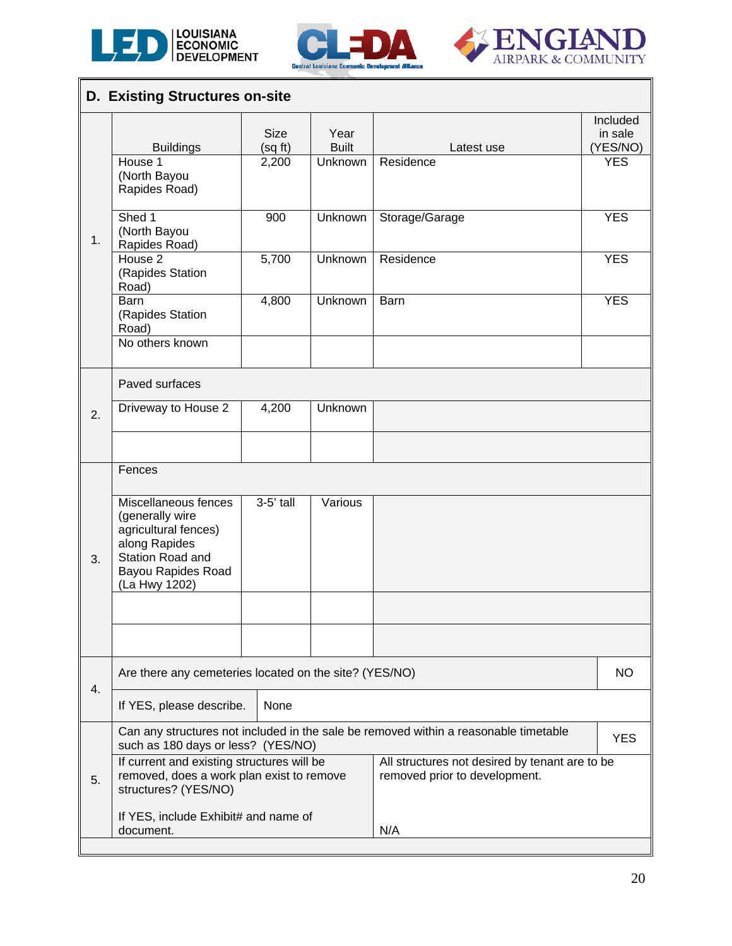

 $\mathsf{l}$ 





|    | <b>D. Existing Structures on-site</b>                                                                                                              |                       |                      |                                                                                      |                                 |  |
|----|----------------------------------------------------------------------------------------------------------------------------------------------------|-----------------------|----------------------|--------------------------------------------------------------------------------------|---------------------------------|--|
|    | <b>Buildings</b>                                                                                                                                   | <b>Size</b><br>(sqft) | Year<br><b>Built</b> | Latest use                                                                           | Included<br>in sale<br>(YES/NO) |  |
|    | House 1<br>(North Bayou<br>Rapides Road)                                                                                                           | 2,200                 | <b>Unknown</b>       | Residence                                                                            | <b>YES</b>                      |  |
| 1. | Shed 1<br>(North Bayou<br>Rapides Road)                                                                                                            | 900                   | Unknown              | Storage/Garage                                                                       | <b>YES</b>                      |  |
|    | House <sub>2</sub><br>(Rapides Station<br>Road)                                                                                                    | 5,700                 | Unknown              | Residence                                                                            | <b>YES</b>                      |  |
|    | Barn<br>(Rapides Station<br>Road)<br>No others known                                                                                               | 4,800                 | Unknown              | Barn                                                                                 | <b>YES</b>                      |  |
|    | Paved surfaces                                                                                                                                     |                       |                      |                                                                                      |                                 |  |
| 2. | Driveway to House 2                                                                                                                                | 4,200                 | Unknown              |                                                                                      |                                 |  |
|    |                                                                                                                                                    |                       |                      |                                                                                      |                                 |  |
|    | Fences                                                                                                                                             |                       |                      |                                                                                      |                                 |  |
| 3. | Miscellaneous fences<br>(generally wire<br>agricultural fences)<br>along Rapides<br><b>Station Road and</b><br>Bayou Rapides Road<br>(La Hwy 1202) | $3-5'$ tall           | Various              |                                                                                      |                                 |  |
|    |                                                                                                                                                    |                       |                      |                                                                                      |                                 |  |
|    |                                                                                                                                                    |                       |                      |                                                                                      |                                 |  |
| 4. | Are there any cemeteries located on the site? (YES/NO)                                                                                             |                       |                      |                                                                                      | NO.                             |  |
|    | If YES, please describe.                                                                                                                           | None                  |                      |                                                                                      |                                 |  |
|    | such as 180 days or less? (YES/NO)                                                                                                                 |                       |                      | Can any structures not included in the sale be removed within a reasonable timetable | <b>YES</b>                      |  |
| 5. | If current and existing structures will be<br>removed, does a work plan exist to remove<br>structures? (YES/NO)                                    |                       |                      | All structures not desired by tenant are to be<br>removed prior to development.      |                                 |  |
|    | If YES, include Exhibit# and name of<br>document.                                                                                                  |                       |                      | N/A                                                                                  |                                 |  |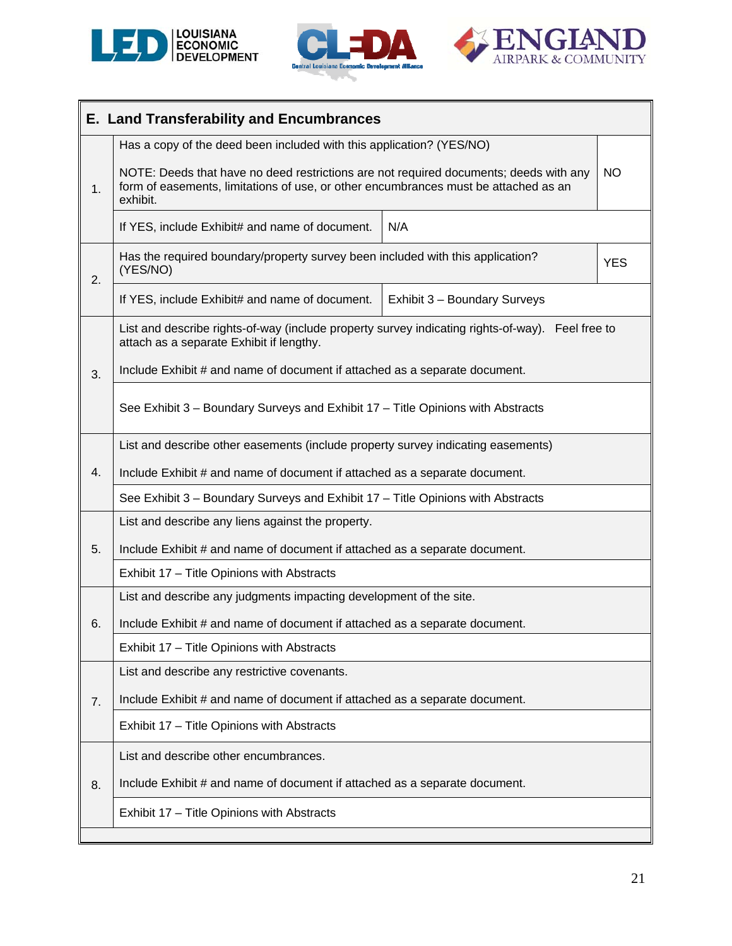





|    | <b>E. Land Transferability and Encumbrances</b>                                                                                                                                          |                                                                            |            |  |  |  |  |
|----|------------------------------------------------------------------------------------------------------------------------------------------------------------------------------------------|----------------------------------------------------------------------------|------------|--|--|--|--|
|    | Has a copy of the deed been included with this application? (YES/NO)                                                                                                                     |                                                                            |            |  |  |  |  |
| 1. | NOTE: Deeds that have no deed restrictions are not required documents; deeds with any<br>form of easements, limitations of use, or other encumbrances must be attached as an<br>exhibit. |                                                                            | <b>NO</b>  |  |  |  |  |
|    | N/A<br>If YES, include Exhibit# and name of document.                                                                                                                                    |                                                                            |            |  |  |  |  |
| 2. | Has the required boundary/property survey been included with this application?<br>(YES/NO)                                                                                               |                                                                            | <b>YES</b> |  |  |  |  |
|    | If YES, include Exhibit# and name of document.                                                                                                                                           | Exhibit 3 - Boundary Surveys                                               |            |  |  |  |  |
|    | List and describe rights-of-way (include property survey indicating rights-of-way). Feel free to<br>attach as a separate Exhibit if lengthy.                                             |                                                                            |            |  |  |  |  |
| 3. | Include Exhibit # and name of document if attached as a separate document.                                                                                                               |                                                                            |            |  |  |  |  |
|    | See Exhibit 3 - Boundary Surveys and Exhibit 17 - Title Opinions with Abstracts                                                                                                          |                                                                            |            |  |  |  |  |
|    | List and describe other easements (include property survey indicating easements)                                                                                                         |                                                                            |            |  |  |  |  |
| 4. | Include Exhibit # and name of document if attached as a separate document.                                                                                                               |                                                                            |            |  |  |  |  |
|    | See Exhibit 3 - Boundary Surveys and Exhibit 17 - Title Opinions with Abstracts                                                                                                          |                                                                            |            |  |  |  |  |
|    | List and describe any liens against the property.                                                                                                                                        |                                                                            |            |  |  |  |  |
| 5. |                                                                                                                                                                                          | Include Exhibit # and name of document if attached as a separate document. |            |  |  |  |  |
|    | Exhibit 17 - Title Opinions with Abstracts                                                                                                                                               |                                                                            |            |  |  |  |  |
|    | List and describe any judgments impacting development of the site.                                                                                                                       |                                                                            |            |  |  |  |  |
| 6. | Include Exhibit # and name of document if attached as a separate document.                                                                                                               |                                                                            |            |  |  |  |  |
|    | Exhibit 17 - Title Opinions with Abstracts                                                                                                                                               |                                                                            |            |  |  |  |  |
|    | List and describe any restrictive covenants.                                                                                                                                             |                                                                            |            |  |  |  |  |
| 7. | Include Exhibit # and name of document if attached as a separate document.                                                                                                               |                                                                            |            |  |  |  |  |
|    | Exhibit 17 - Title Opinions with Abstracts                                                                                                                                               |                                                                            |            |  |  |  |  |
|    | List and describe other encumbrances.                                                                                                                                                    |                                                                            |            |  |  |  |  |
| 8. | Include Exhibit # and name of document if attached as a separate document.                                                                                                               |                                                                            |            |  |  |  |  |
|    | Exhibit 17 - Title Opinions with Abstracts                                                                                                                                               |                                                                            |            |  |  |  |  |
|    |                                                                                                                                                                                          |                                                                            |            |  |  |  |  |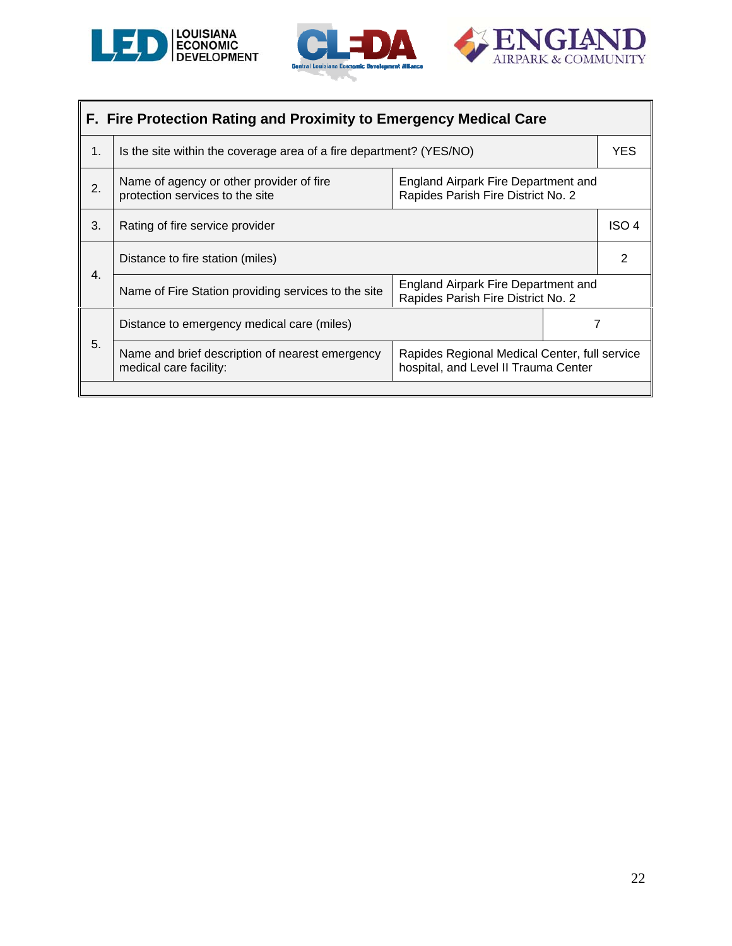





|    | F. Fire Protection Rating and Proximity to Emergency Medical Care                                                                                                  |  |  |            |  |  |  |
|----|--------------------------------------------------------------------------------------------------------------------------------------------------------------------|--|--|------------|--|--|--|
| 1. | Is the site within the coverage area of a fire department? (YES/NO)                                                                                                |  |  | <b>YES</b> |  |  |  |
| 2. | Name of agency or other provider of fire<br>England Airpark Fire Department and<br>protection services to the site<br>Rapides Parish Fire District No. 2           |  |  |            |  |  |  |
| 3. | Rating of fire service provider                                                                                                                                    |  |  | ISO 4      |  |  |  |
|    | Distance to fire station (miles)                                                                                                                                   |  |  | 2          |  |  |  |
| 4. | England Airpark Fire Department and<br>Name of Fire Station providing services to the site<br>Rapides Parish Fire District No. 2                                   |  |  |            |  |  |  |
|    | Distance to emergency medical care (miles)                                                                                                                         |  |  |            |  |  |  |
| 5. | Name and brief description of nearest emergency<br>Rapides Regional Medical Center, full service<br>hospital, and Level II Trauma Center<br>medical care facility: |  |  |            |  |  |  |
|    |                                                                                                                                                                    |  |  |            |  |  |  |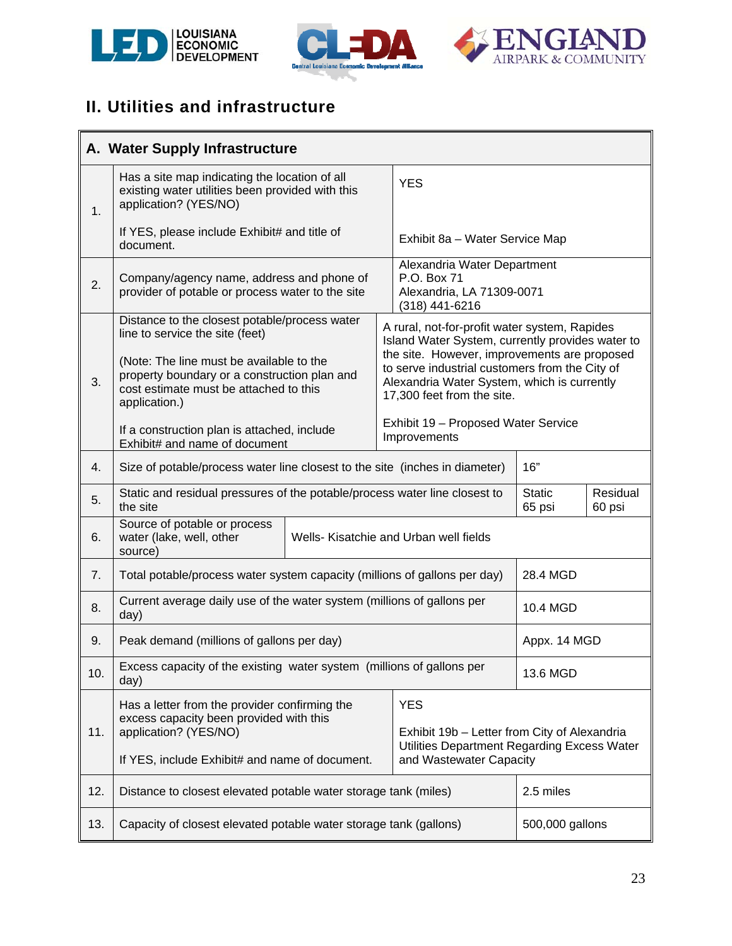





# **II. Utilities and infrastructure**

|     | A. Water Supply Infrastructure                                                                                                                                                                                                                                                                                          |  |                                                                                                                                                                                                                                                                                  |                                                                                             |                         |                    |  |
|-----|-------------------------------------------------------------------------------------------------------------------------------------------------------------------------------------------------------------------------------------------------------------------------------------------------------------------------|--|----------------------------------------------------------------------------------------------------------------------------------------------------------------------------------------------------------------------------------------------------------------------------------|---------------------------------------------------------------------------------------------|-------------------------|--------------------|--|
| 1.  | Has a site map indicating the location of all<br>existing water utilities been provided with this<br>application? (YES/NO)                                                                                                                                                                                              |  |                                                                                                                                                                                                                                                                                  | <b>YES</b>                                                                                  |                         |                    |  |
|     | If YES, please include Exhibit# and title of<br>document.                                                                                                                                                                                                                                                               |  |                                                                                                                                                                                                                                                                                  | Exhibit 8a - Water Service Map                                                              |                         |                    |  |
| 2.  | Company/agency name, address and phone of<br>provider of potable or process water to the site                                                                                                                                                                                                                           |  |                                                                                                                                                                                                                                                                                  | Alexandria Water Department<br>P.O. Box 71<br>Alexandria, LA 71309-0071<br>$(318)$ 441-6216 |                         |                    |  |
| 3.  | Distance to the closest potable/process water<br>line to service the site (feet)<br>(Note: The line must be available to the<br>property boundary or a construction plan and<br>cost estimate must be attached to this<br>application.)<br>If a construction plan is attached, include<br>Exhibit# and name of document |  | A rural, not-for-profit water system, Rapides<br>Island Water System, currently provides water to<br>the site. However, improvements are proposed<br>to serve industrial customers from the City of<br>Alexandria Water System, which is currently<br>17,300 feet from the site. |                                                                                             |                         |                    |  |
|     |                                                                                                                                                                                                                                                                                                                         |  | Exhibit 19 - Proposed Water Service<br>Improvements                                                                                                                                                                                                                              |                                                                                             |                         |                    |  |
| 4.  | Size of potable/process water line closest to the site (inches in diameter)                                                                                                                                                                                                                                             |  |                                                                                                                                                                                                                                                                                  |                                                                                             | 16"                     |                    |  |
| 5.  | Static and residual pressures of the potable/process water line closest to<br>the site                                                                                                                                                                                                                                  |  |                                                                                                                                                                                                                                                                                  |                                                                                             | <b>Static</b><br>65 psi | Residual<br>60 psi |  |
| 6.  | Source of potable or process<br>water (lake, well, other<br>source)                                                                                                                                                                                                                                                     |  |                                                                                                                                                                                                                                                                                  | Wells- Kisatchie and Urban well fields                                                      |                         |                    |  |
| 7.  | Total potable/process water system capacity (millions of gallons per day)                                                                                                                                                                                                                                               |  |                                                                                                                                                                                                                                                                                  |                                                                                             | 28.4 MGD                |                    |  |
| 8.  | Current average daily use of the water system (millions of gallons per<br>day)                                                                                                                                                                                                                                          |  |                                                                                                                                                                                                                                                                                  |                                                                                             | 10.4 MGD                |                    |  |
| 9.  | Peak demand (millions of gallons per day)                                                                                                                                                                                                                                                                               |  |                                                                                                                                                                                                                                                                                  |                                                                                             | Appx. 14 MGD            |                    |  |
| 10. | Excess capacity of the existing water system (millions of gallons per<br>day)                                                                                                                                                                                                                                           |  |                                                                                                                                                                                                                                                                                  |                                                                                             | 13.6 MGD                |                    |  |
| 11. | Has a letter from the provider confirming the<br>excess capacity been provided with this<br>application? (YES/NO)                                                                                                                                                                                                       |  |                                                                                                                                                                                                                                                                                  | <b>YES</b><br>Exhibit 19b - Letter from City of Alexandria                                  |                         |                    |  |
|     | If YES, include Exhibit# and name of document.                                                                                                                                                                                                                                                                          |  |                                                                                                                                                                                                                                                                                  | Utilities Department Regarding Excess Water<br>and Wastewater Capacity                      |                         |                    |  |
| 12. | Distance to closest elevated potable water storage tank (miles)                                                                                                                                                                                                                                                         |  |                                                                                                                                                                                                                                                                                  |                                                                                             | 2.5 miles               |                    |  |
| 13. | Capacity of closest elevated potable water storage tank (gallons)                                                                                                                                                                                                                                                       |  |                                                                                                                                                                                                                                                                                  |                                                                                             | 500,000 gallons         |                    |  |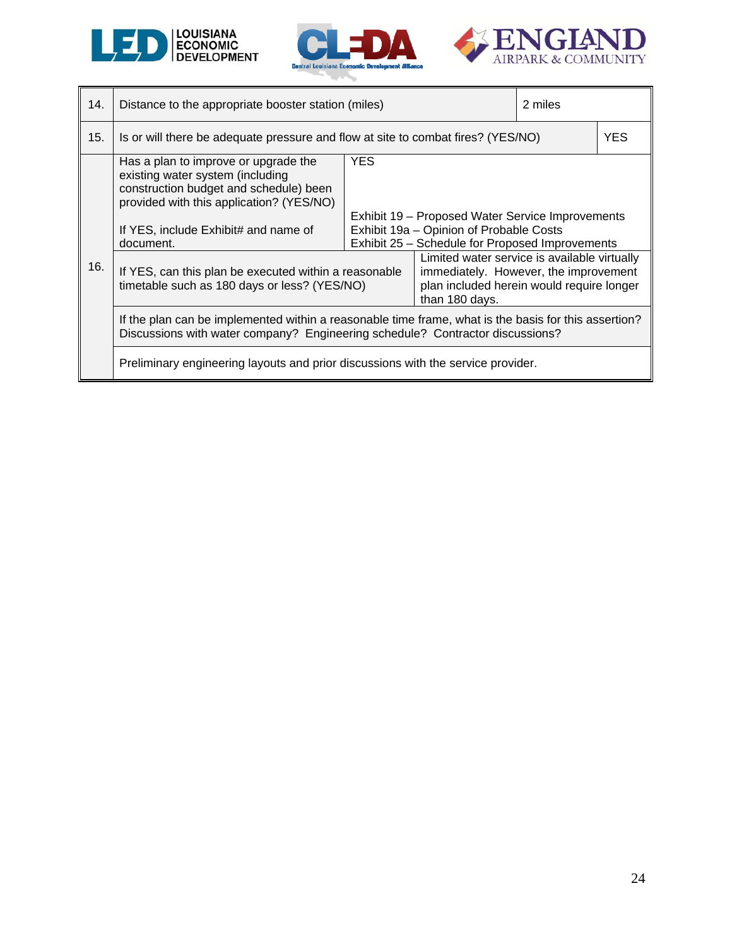





| 14. | Distance to the appropriate booster station (miles)                                                                                                                                                                 |                                                                                                                                                              |                                                                                                                                                      | 2 miles |            |  |
|-----|---------------------------------------------------------------------------------------------------------------------------------------------------------------------------------------------------------------------|--------------------------------------------------------------------------------------------------------------------------------------------------------------|------------------------------------------------------------------------------------------------------------------------------------------------------|---------|------------|--|
| 15. | Is or will there be adequate pressure and flow at site to combat fires? (YES/NO)                                                                                                                                    |                                                                                                                                                              |                                                                                                                                                      |         | <b>YES</b> |  |
|     | Has a plan to improve or upgrade the<br>existing water system (including<br>construction budget and schedule) been<br>provided with this application? (YES/NO)<br>If YES, include Exhibit# and name of<br>document. | <b>YES</b><br>Exhibit 19 – Proposed Water Service Improvements<br>Exhibit 19a - Opinion of Probable Costs<br>Exhibit 25 - Schedule for Proposed Improvements |                                                                                                                                                      |         |            |  |
| 16. | If YES, can this plan be executed within a reasonable<br>timetable such as 180 days or less? (YES/NO)                                                                                                               |                                                                                                                                                              | Limited water service is available virtually<br>immediately. However, the improvement<br>plan included herein would require longer<br>than 180 days. |         |            |  |
|     | If the plan can be implemented within a reasonable time frame, what is the basis for this assertion?<br>Discussions with water company? Engineering schedule? Contractor discussions?                               |                                                                                                                                                              |                                                                                                                                                      |         |            |  |
|     | Preliminary engineering layouts and prior discussions with the service provider.                                                                                                                                    |                                                                                                                                                              |                                                                                                                                                      |         |            |  |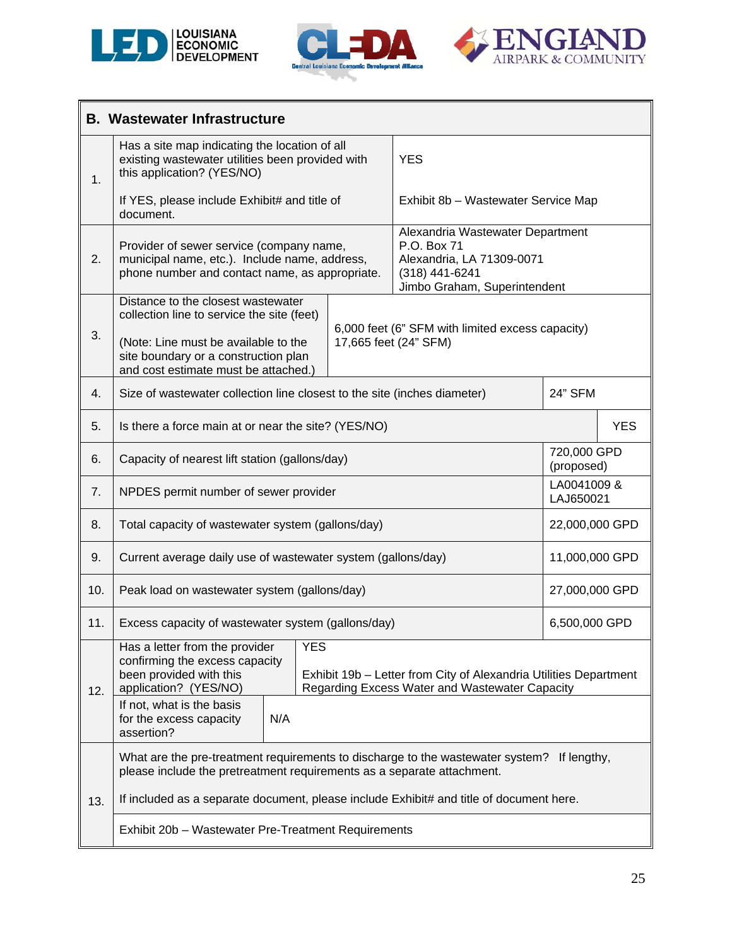





|     | <b>B. Wastewater Infrastructure</b>                                                                                                                                                                                                                       |  |                                                                                                                                |                           |            |  |
|-----|-----------------------------------------------------------------------------------------------------------------------------------------------------------------------------------------------------------------------------------------------------------|--|--------------------------------------------------------------------------------------------------------------------------------|---------------------------|------------|--|
| 1.  | Has a site map indicating the location of all<br>existing wastewater utilities been provided with<br>this application? (YES/NO)                                                                                                                           |  | <b>YES</b>                                                                                                                     |                           |            |  |
|     | If YES, please include Exhibit# and title of<br>document.                                                                                                                                                                                                 |  | Exhibit 8b - Wastewater Service Map                                                                                            |                           |            |  |
| 2.  | Provider of sewer service (company name,<br>municipal name, etc.). Include name, address,<br>phone number and contact name, as appropriate.                                                                                                               |  | Alexandria Wastewater Department<br>P.O. Box 71<br>Alexandria, LA 71309-0071<br>(318) 441-6241<br>Jimbo Graham, Superintendent |                           |            |  |
| 3.  | Distance to the closest wastewater<br>collection line to service the site (feet)<br>(Note: Line must be available to the<br>site boundary or a construction plan<br>and cost estimate must be attached.)                                                  |  | 6,000 feet (6" SFM with limited excess capacity)<br>17,665 feet (24" SFM)                                                      |                           |            |  |
| 4.  | Size of wastewater collection line closest to the site (inches diameter)                                                                                                                                                                                  |  |                                                                                                                                | 24" SFM                   |            |  |
| 5.  | Is there a force main at or near the site? (YES/NO)                                                                                                                                                                                                       |  |                                                                                                                                |                           | <b>YES</b> |  |
| 6.  | Capacity of nearest lift station (gallons/day)                                                                                                                                                                                                            |  |                                                                                                                                | 720,000 GPD<br>(proposed) |            |  |
| 7.  | NPDES permit number of sewer provider                                                                                                                                                                                                                     |  |                                                                                                                                | LA0041009 &<br>LAJ650021  |            |  |
| 8.  | Total capacity of wastewater system (gallons/day)                                                                                                                                                                                                         |  |                                                                                                                                | 22,000,000 GPD            |            |  |
| 9.  | Current average daily use of wastewater system (gallons/day)                                                                                                                                                                                              |  |                                                                                                                                | 11,000,000 GPD            |            |  |
| 10. | Peak load on wastewater system (gallons/day)                                                                                                                                                                                                              |  |                                                                                                                                | 27,000,000 GPD            |            |  |
| 11. | Excess capacity of wastewater system (gallons/day)                                                                                                                                                                                                        |  |                                                                                                                                | 6,500,000 GPD             |            |  |
| 12. | Has a letter from the provider<br><b>YES</b><br>confirming the excess capacity<br>been provided with this<br>Exhibit 19b - Letter from City of Alexandria Utilities Department<br>application? (YES/NO)<br>Regarding Excess Water and Wastewater Capacity |  |                                                                                                                                |                           |            |  |
|     | If not, what is the basis<br>N/A<br>for the excess capacity<br>assertion?                                                                                                                                                                                 |  |                                                                                                                                |                           |            |  |
|     | What are the pre-treatment requirements to discharge to the wastewater system? If lengthy,<br>please include the pretreatment requirements as a separate attachment.                                                                                      |  |                                                                                                                                |                           |            |  |
| 13. | If included as a separate document, please include Exhibit# and title of document here.                                                                                                                                                                   |  |                                                                                                                                |                           |            |  |
|     | Exhibit 20b - Wastewater Pre-Treatment Requirements                                                                                                                                                                                                       |  |                                                                                                                                |                           |            |  |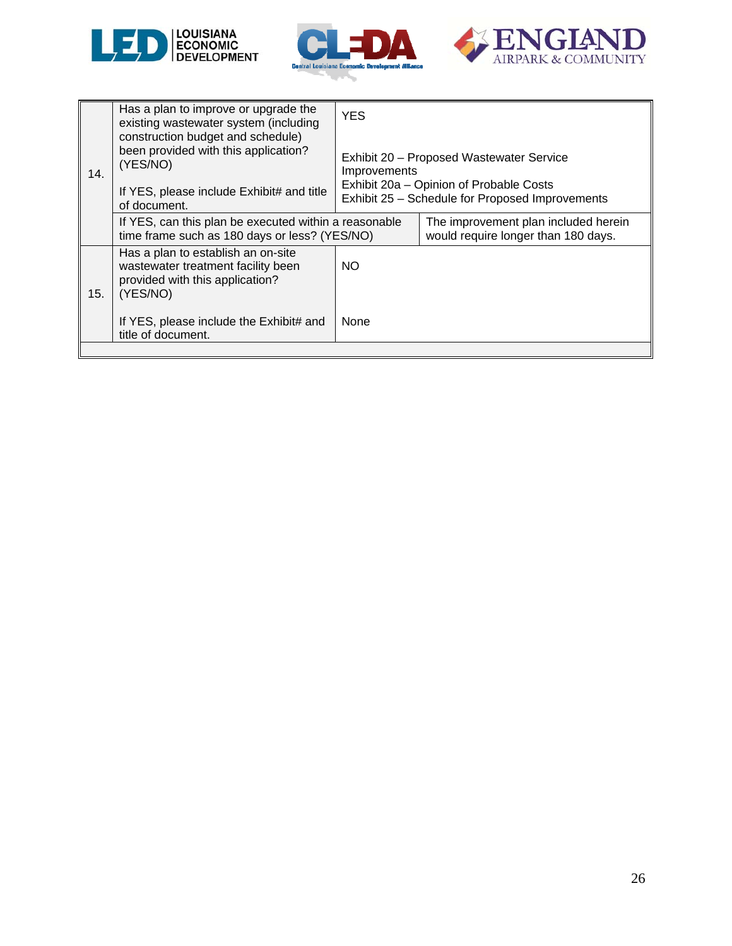





| 14. | Has a plan to improve or upgrade the<br>existing wastewater system (including<br>construction budget and schedule)<br>been provided with this application?<br>(YES/NO)<br>If YES, please include Exhibit# and title<br>of document. | <b>YES</b><br>Exhibit 20 - Proposed Wastewater Service<br>Improvements<br>Exhibit 20a - Opinion of Probable Costs<br>Exhibit 25 - Schedule for Proposed Improvements |                                                                             |  |
|-----|-------------------------------------------------------------------------------------------------------------------------------------------------------------------------------------------------------------------------------------|----------------------------------------------------------------------------------------------------------------------------------------------------------------------|-----------------------------------------------------------------------------|--|
|     | If YES, can this plan be executed within a reasonable<br>time frame such as 180 days or less? (YES/NO)                                                                                                                              |                                                                                                                                                                      | The improvement plan included herein<br>would require longer than 180 days. |  |
| 15. | Has a plan to establish an on-site<br>wastewater treatment facility been<br>provided with this application?<br>(YES/NO)                                                                                                             | NO.                                                                                                                                                                  |                                                                             |  |
|     | If YES, please include the Exhibit# and<br>title of document.                                                                                                                                                                       | None                                                                                                                                                                 |                                                                             |  |
|     |                                                                                                                                                                                                                                     |                                                                                                                                                                      |                                                                             |  |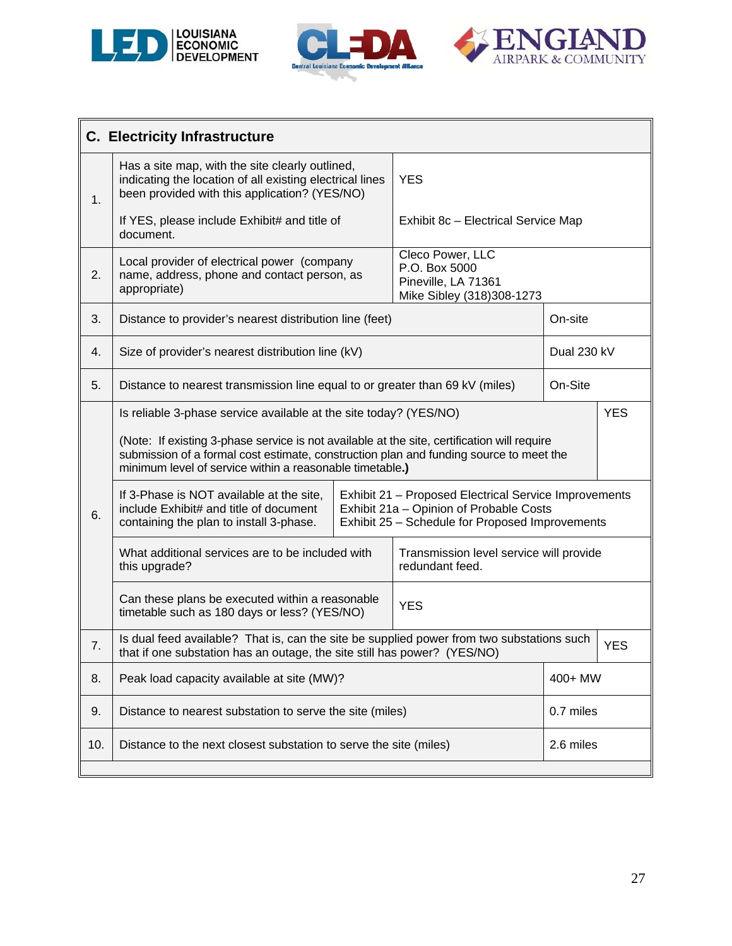





|     | <b>C. Electricity Infrastructure</b>                                                                                                                                                                                                              |                                                                                                                                                     |                                                                                       |             |            |  |
|-----|---------------------------------------------------------------------------------------------------------------------------------------------------------------------------------------------------------------------------------------------------|-----------------------------------------------------------------------------------------------------------------------------------------------------|---------------------------------------------------------------------------------------|-------------|------------|--|
| 1.  | Has a site map, with the site clearly outlined,<br>indicating the location of all existing electrical lines<br>been provided with this application? (YES/NO)                                                                                      |                                                                                                                                                     | <b>YES</b>                                                                            |             |            |  |
|     | If YES, please include Exhibit# and title of<br>document.                                                                                                                                                                                         |                                                                                                                                                     | Exhibit 8c - Electrical Service Map                                                   |             |            |  |
| 2.  | Local provider of electrical power (company<br>name, address, phone and contact person, as<br>appropriate)                                                                                                                                        |                                                                                                                                                     | Cleco Power, LLC<br>P.O. Box 5000<br>Pineville, LA 71361<br>Mike Sibley (318)308-1273 |             |            |  |
| 3.  | Distance to provider's nearest distribution line (feet)                                                                                                                                                                                           |                                                                                                                                                     |                                                                                       | On-site     |            |  |
| 4.  | Size of provider's nearest distribution line (kV)                                                                                                                                                                                                 |                                                                                                                                                     |                                                                                       | Dual 230 kV |            |  |
| 5.  | Distance to nearest transmission line equal to or greater than 69 kV (miles)                                                                                                                                                                      |                                                                                                                                                     |                                                                                       | On-Site     |            |  |
|     | Is reliable 3-phase service available at the site today? (YES/NO)                                                                                                                                                                                 |                                                                                                                                                     |                                                                                       |             | <b>YES</b> |  |
|     | (Note: If existing 3-phase service is not available at the site, certification will require<br>submission of a formal cost estimate, construction plan and funding source to meet the<br>minimum level of service within a reasonable timetable.) |                                                                                                                                                     |                                                                                       |             |            |  |
| 6.  | If 3-Phase is NOT available at the site,<br>include Exhibit# and title of document<br>containing the plan to install 3-phase.                                                                                                                     | Exhibit 21 - Proposed Electrical Service Improvements<br>Exhibit 21a - Opinion of Probable Costs<br>Exhibit 25 - Schedule for Proposed Improvements |                                                                                       |             |            |  |
|     | What additional services are to be included with<br>this upgrade?                                                                                                                                                                                 |                                                                                                                                                     | Transmission level service will provide<br>redundant feed.                            |             |            |  |
|     | Can these plans be executed within a reasonable<br>timetable such as 180 days or less? (YES/NO)                                                                                                                                                   |                                                                                                                                                     | <b>YES</b>                                                                            |             |            |  |
| 7.  | Is dual feed available? That is, can the site be supplied power from two substations such<br>that if one substation has an outage, the site still has power? (YES/NO)                                                                             |                                                                                                                                                     |                                                                                       |             | <b>YES</b> |  |
| 8.  | Peak load capacity available at site (MW)?                                                                                                                                                                                                        |                                                                                                                                                     |                                                                                       | 400+ MW     |            |  |
| 9.  | Distance to nearest substation to serve the site (miles)                                                                                                                                                                                          |                                                                                                                                                     |                                                                                       | 0.7 miles   |            |  |
| 10. | Distance to the next closest substation to serve the site (miles)                                                                                                                                                                                 |                                                                                                                                                     |                                                                                       | 2.6 miles   |            |  |
|     |                                                                                                                                                                                                                                                   |                                                                                                                                                     |                                                                                       |             |            |  |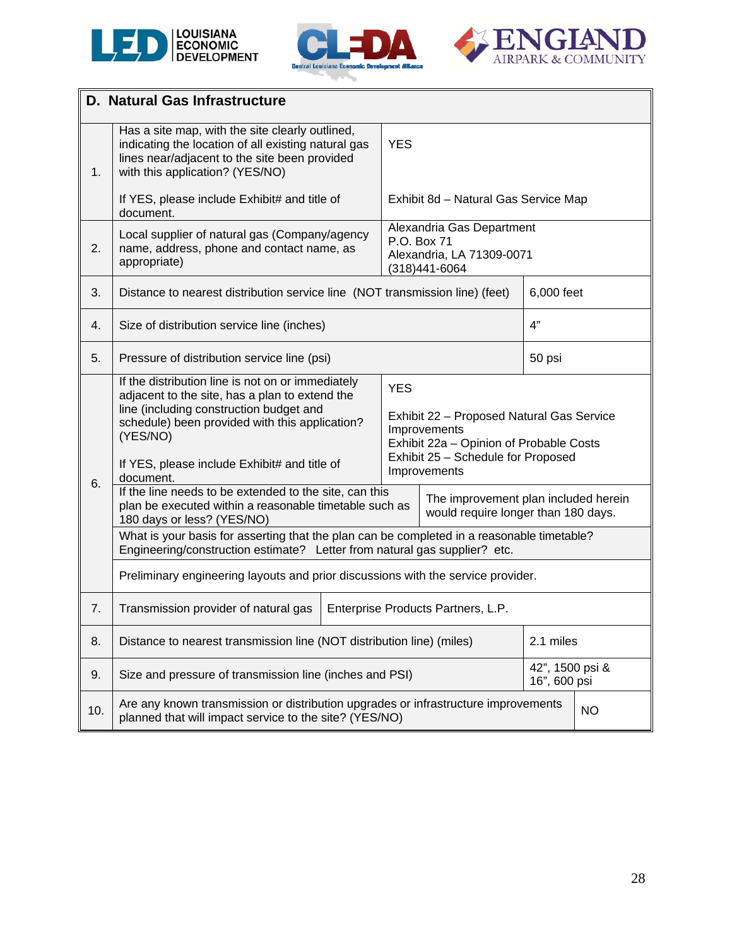





|     | <b>D. Natural Gas Infrastructure</b>                                                                                                                                                                                                                                      |            |                                                                                                                                                                          |                                                                             |           |  |  |
|-----|---------------------------------------------------------------------------------------------------------------------------------------------------------------------------------------------------------------------------------------------------------------------------|------------|--------------------------------------------------------------------------------------------------------------------------------------------------------------------------|-----------------------------------------------------------------------------|-----------|--|--|
| 1.  | Has a site map, with the site clearly outlined,<br>indicating the location of all existing natural gas<br>lines near/adjacent to the site been provided<br>with this application? (YES/NO)                                                                                | <b>YES</b> |                                                                                                                                                                          |                                                                             |           |  |  |
|     | If YES, please include Exhibit# and title of<br>document.                                                                                                                                                                                                                 |            | Exhibit 8d - Natural Gas Service Map                                                                                                                                     |                                                                             |           |  |  |
| 2.  | Local supplier of natural gas (Company/agency<br>name, address, phone and contact name, as<br>appropriate)                                                                                                                                                                |            | Alexandria Gas Department<br>P.O. Box 71<br>Alexandria, LA 71309-0071<br>(318)441-6064                                                                                   |                                                                             |           |  |  |
| 3.  | Distance to nearest distribution service line (NOT transmission line) (feet)                                                                                                                                                                                              |            |                                                                                                                                                                          | 6,000 feet                                                                  |           |  |  |
| 4.  | Size of distribution service line (inches)                                                                                                                                                                                                                                |            |                                                                                                                                                                          | 4"                                                                          |           |  |  |
| 5.  | Pressure of distribution service line (psi)                                                                                                                                                                                                                               |            |                                                                                                                                                                          | 50 psi                                                                      |           |  |  |
| 6.  | If the distribution line is not on or immediately<br>adjacent to the site, has a plan to extend the<br>line (including construction budget and<br>schedule) been provided with this application?<br>(YES/NO)<br>If YES, please include Exhibit# and title of<br>document. |            | <b>YES</b><br>Exhibit 22 - Proposed Natural Gas Service<br>Improvements<br>Exhibit 22a - Opinion of Probable Costs<br>Exhibit 25 - Schedule for Proposed<br>Improvements |                                                                             |           |  |  |
|     | If the line needs to be extended to the site, can this<br>plan be executed within a reasonable timetable such as<br>180 days or less? (YES/NO)                                                                                                                            |            |                                                                                                                                                                          | The improvement plan included herein<br>would require longer than 180 days. |           |  |  |
|     | What is your basis for asserting that the plan can be completed in a reasonable timetable?<br>Engineering/construction estimate? Letter from natural gas supplier? etc.                                                                                                   |            |                                                                                                                                                                          |                                                                             |           |  |  |
|     | Preliminary engineering layouts and prior discussions with the service provider.                                                                                                                                                                                          |            |                                                                                                                                                                          |                                                                             |           |  |  |
| 7.  | Transmission provider of natural gas                                                                                                                                                                                                                                      |            | Enterprise Products Partners, L.P.                                                                                                                                       |                                                                             |           |  |  |
| 8.  | 2.1 miles<br>Distance to nearest transmission line (NOT distribution line) (miles)                                                                                                                                                                                        |            |                                                                                                                                                                          |                                                                             |           |  |  |
| 9.  | 42", 1500 psi &<br>Size and pressure of transmission line (inches and PSI)<br>16", 600 psi                                                                                                                                                                                |            |                                                                                                                                                                          |                                                                             |           |  |  |
| 10. | Are any known transmission or distribution upgrades or infrastructure improvements<br>planned that will impact service to the site? (YES/NO)                                                                                                                              |            |                                                                                                                                                                          |                                                                             | <b>NO</b> |  |  |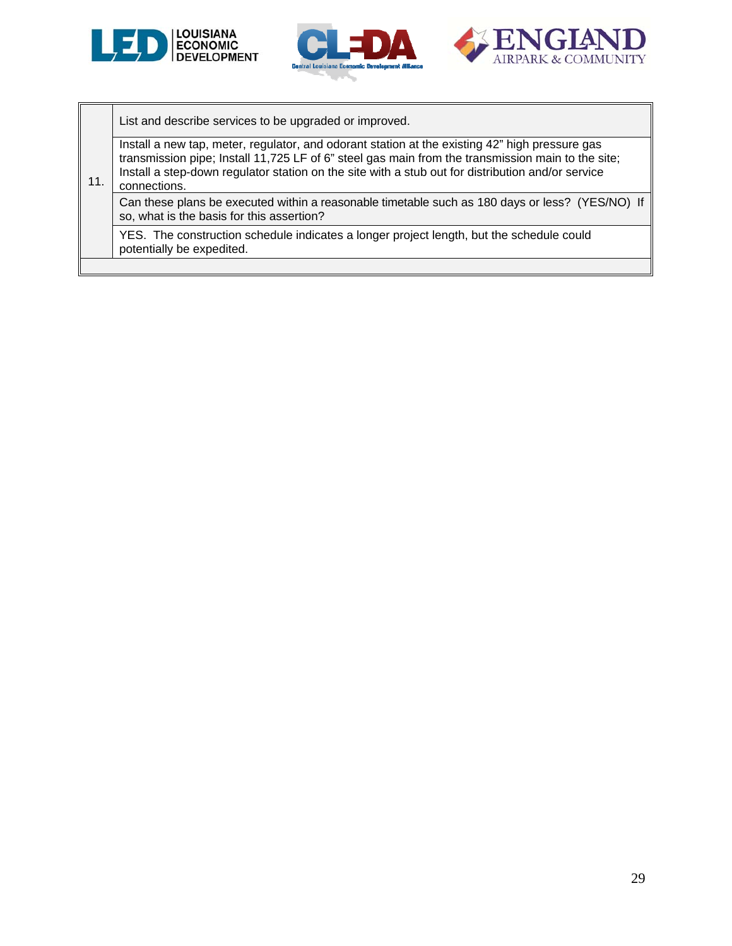





List and describe services to be upgraded or improved.

Install a new tap, meter, regulator, and odorant station at the existing 42" high pressure gas transmission pipe; Install 11,725 LF of 6" steel gas main from the transmission main to the site; Install a step-down regulator station on the site with a stub out for distribution and/or service

#### 11. connections.

Can these plans be executed within a reasonable timetable such as 180 days or less? (YES/NO) If so, what is the basis for this assertion?

YES. The construction schedule indicates a longer project length, but the schedule could potentially be expedited.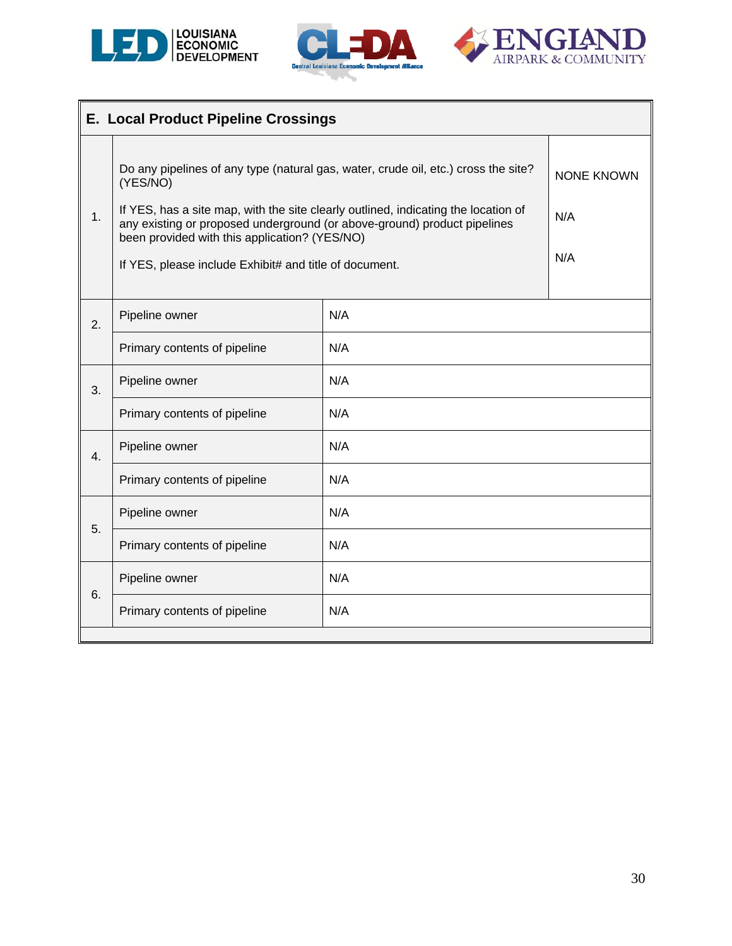





|    | <b>E. Local Product Pipeline Crossings</b>                                                                                                                                                                                                                                                                                                                                  |                                 |  |  |
|----|-----------------------------------------------------------------------------------------------------------------------------------------------------------------------------------------------------------------------------------------------------------------------------------------------------------------------------------------------------------------------------|---------------------------------|--|--|
| 1. | Do any pipelines of any type (natural gas, water, crude oil, etc.) cross the site?<br>(YES/NO)<br>If YES, has a site map, with the site clearly outlined, indicating the location of<br>any existing or proposed underground (or above-ground) product pipelines<br>been provided with this application? (YES/NO)<br>If YES, please include Exhibit# and title of document. | <b>NONE KNOWN</b><br>N/A<br>N/A |  |  |
| 2. | N/A<br>Pipeline owner                                                                                                                                                                                                                                                                                                                                                       |                                 |  |  |
|    | Primary contents of pipeline                                                                                                                                                                                                                                                                                                                                                |                                 |  |  |
| 3. | Pipeline owner                                                                                                                                                                                                                                                                                                                                                              | N/A                             |  |  |
|    | Primary contents of pipeline                                                                                                                                                                                                                                                                                                                                                | N/A                             |  |  |
| 4. | Pipeline owner                                                                                                                                                                                                                                                                                                                                                              | N/A                             |  |  |
|    | Primary contents of pipeline                                                                                                                                                                                                                                                                                                                                                | N/A                             |  |  |
| 5. | Pipeline owner                                                                                                                                                                                                                                                                                                                                                              | N/A                             |  |  |
|    | Primary contents of pipeline                                                                                                                                                                                                                                                                                                                                                | N/A                             |  |  |
| 6. | Pipeline owner                                                                                                                                                                                                                                                                                                                                                              | N/A                             |  |  |
|    | Primary contents of pipeline                                                                                                                                                                                                                                                                                                                                                | N/A                             |  |  |
|    |                                                                                                                                                                                                                                                                                                                                                                             |                                 |  |  |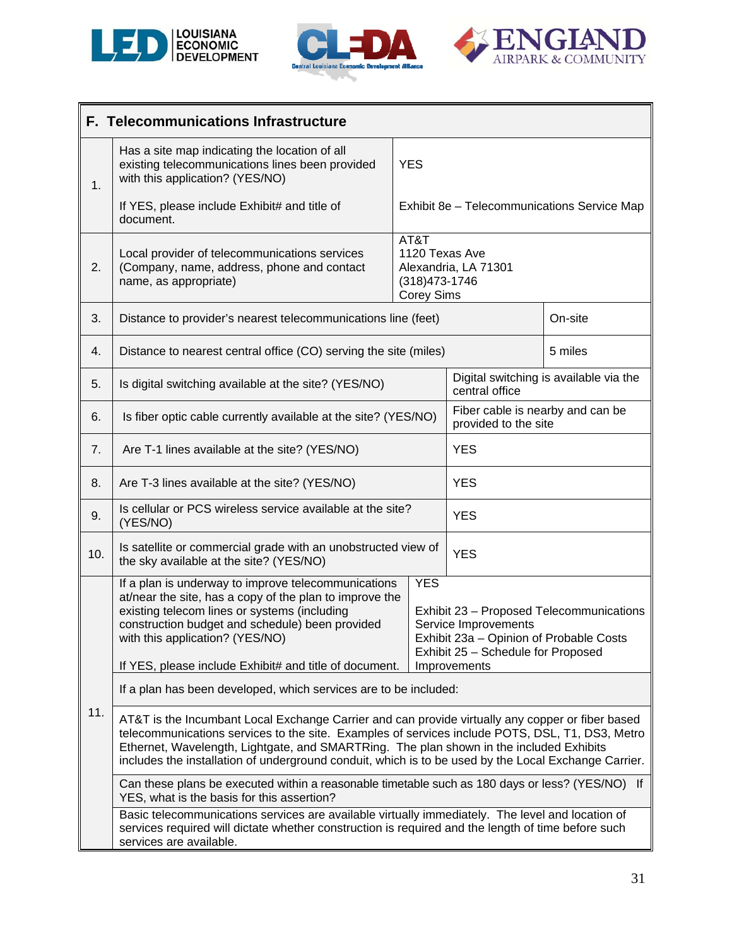





|     | F. Telecommunications Infrastructure                                                                                                                                                                                                                                                                                                                                                                                                                                                              |  |                                                |                                                          |                                             |  |
|-----|---------------------------------------------------------------------------------------------------------------------------------------------------------------------------------------------------------------------------------------------------------------------------------------------------------------------------------------------------------------------------------------------------------------------------------------------------------------------------------------------------|--|------------------------------------------------|----------------------------------------------------------|---------------------------------------------|--|
| 1.  | Has a site map indicating the location of all<br>existing telecommunications lines been provided<br>with this application? (YES/NO)                                                                                                                                                                                                                                                                                                                                                               |  | <b>YES</b>                                     |                                                          |                                             |  |
|     | If YES, please include Exhibit# and title of<br>document.                                                                                                                                                                                                                                                                                                                                                                                                                                         |  |                                                |                                                          | Exhibit 8e - Telecommunications Service Map |  |
| 2.  | Local provider of telecommunications services<br>(Company, name, address, phone and contact<br>name, as appropriate)                                                                                                                                                                                                                                                                                                                                                                              |  | AT&T<br>$(318)473 - 1746$<br><b>Corey Sims</b> | 1120 Texas Ave<br>Alexandria, LA 71301                   |                                             |  |
| 3.  | Distance to provider's nearest telecommunications line (feet)                                                                                                                                                                                                                                                                                                                                                                                                                                     |  |                                                |                                                          | On-site                                     |  |
| 4.  | Distance to nearest central office (CO) serving the site (miles)                                                                                                                                                                                                                                                                                                                                                                                                                                  |  |                                                |                                                          | 5 miles                                     |  |
| 5.  | Is digital switching available at the site? (YES/NO)                                                                                                                                                                                                                                                                                                                                                                                                                                              |  |                                                | central office                                           | Digital switching is available via the      |  |
| 6.  | Is fiber optic cable currently available at the site? (YES/NO)                                                                                                                                                                                                                                                                                                                                                                                                                                    |  |                                                | Fiber cable is nearby and can be<br>provided to the site |                                             |  |
| 7.  | Are T-1 lines available at the site? (YES/NO)                                                                                                                                                                                                                                                                                                                                                                                                                                                     |  |                                                | <b>YES</b>                                               |                                             |  |
| 8.  | Are T-3 lines available at the site? (YES/NO)                                                                                                                                                                                                                                                                                                                                                                                                                                                     |  |                                                | <b>YES</b>                                               |                                             |  |
| 9.  | Is cellular or PCS wireless service available at the site?<br>(YES/NO)                                                                                                                                                                                                                                                                                                                                                                                                                            |  |                                                | <b>YES</b>                                               |                                             |  |
| 10. | Is satellite or commercial grade with an unobstructed view of<br><b>YES</b><br>the sky available at the site? (YES/NO)                                                                                                                                                                                                                                                                                                                                                                            |  |                                                |                                                          |                                             |  |
|     | If a plan is underway to improve telecommunications<br><b>YES</b><br>at/near the site, has a copy of the plan to improve the<br>existing telecom lines or systems (including<br>Exhibit 23 - Proposed Telecommunications<br>construction budget and schedule) been provided<br>Service Improvements<br>with this application? (YES/NO)<br>Exhibit 23a – Opinion of Probable Costs<br>Exhibit 25 - Schedule for Proposed<br>If YES, please include Exhibit# and title of document.<br>Improvements |  |                                                |                                                          |                                             |  |
|     | If a plan has been developed, which services are to be included:                                                                                                                                                                                                                                                                                                                                                                                                                                  |  |                                                |                                                          |                                             |  |
| 11. | AT&T is the Incumbant Local Exchange Carrier and can provide virtually any copper or fiber based<br>telecommunications services to the site. Examples of services include POTS, DSL, T1, DS3, Metro<br>Ethernet, Wavelength, Lightgate, and SMARTRing. The plan shown in the included Exhibits<br>includes the installation of underground conduit, which is to be used by the Local Exchange Carrier.                                                                                            |  |                                                |                                                          |                                             |  |
|     | Can these plans be executed within a reasonable timetable such as 180 days or less? (YES/NO) If<br>YES, what is the basis for this assertion?                                                                                                                                                                                                                                                                                                                                                     |  |                                                |                                                          |                                             |  |
|     | Basic telecommunications services are available virtually immediately. The level and location of<br>services required will dictate whether construction is required and the length of time before such<br>services are available.                                                                                                                                                                                                                                                                 |  |                                                |                                                          |                                             |  |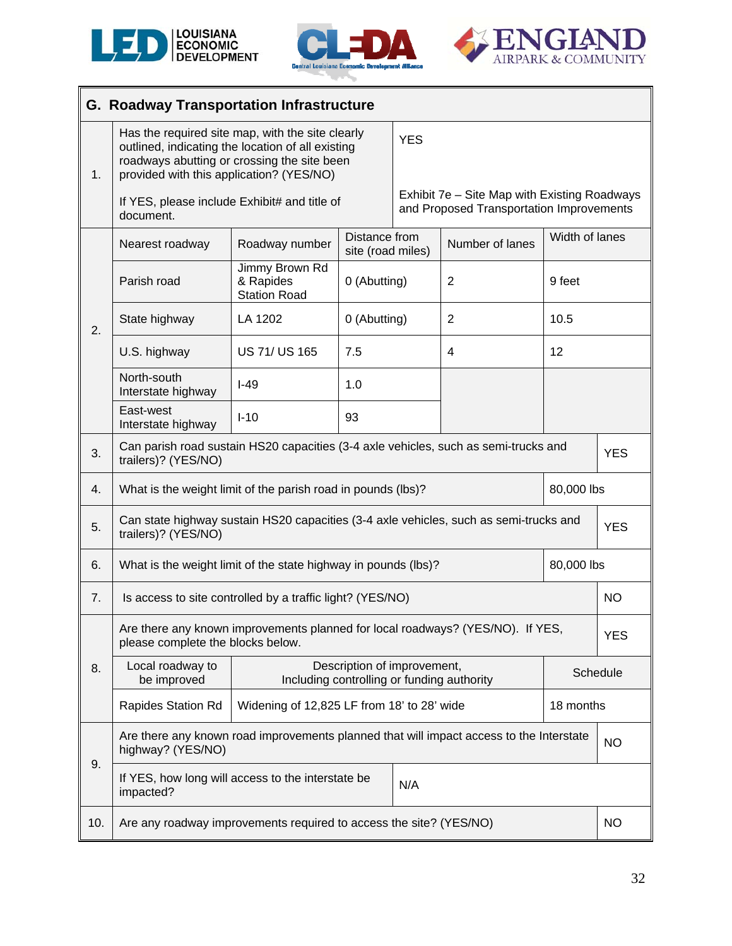





|     | <b>G. Roadway Transportation Infrastructure</b>                                                                                                                                                  |                                                                            |                                                                           |            |                                                                                          |                |            |
|-----|--------------------------------------------------------------------------------------------------------------------------------------------------------------------------------------------------|----------------------------------------------------------------------------|---------------------------------------------------------------------------|------------|------------------------------------------------------------------------------------------|----------------|------------|
| 1.  | Has the required site map, with the site clearly<br>outlined, indicating the location of all existing<br>roadways abutting or crossing the site been<br>provided with this application? (YES/NO) |                                                                            | <b>YES</b>                                                                |            |                                                                                          |                |            |
|     | If YES, please include Exhibit# and title of<br>document.                                                                                                                                        |                                                                            |                                                                           |            | Exhibit 7e - Site Map with Existing Roadways<br>and Proposed Transportation Improvements |                |            |
|     | Nearest roadway                                                                                                                                                                                  | Roadway number                                                             | Distance from<br>site (road miles)                                        |            | Number of lanes                                                                          | Width of lanes |            |
|     | Parish road                                                                                                                                                                                      | Jimmy Brown Rd<br>& Rapides<br><b>Station Road</b>                         | 0 (Abutting)                                                              |            | $\overline{2}$                                                                           | 9 feet         |            |
| 2.  | State highway                                                                                                                                                                                    | LA 1202                                                                    | 0 (Abutting)                                                              |            | $\overline{2}$                                                                           | 10.5           |            |
|     | U.S. highway                                                                                                                                                                                     | <b>US 71/ US 165</b>                                                       | 7.5                                                                       |            | 4                                                                                        | 12             |            |
|     | North-south<br>Interstate highway                                                                                                                                                                | $I-49$                                                                     | 1.0                                                                       |            |                                                                                          |                |            |
|     | East-west<br>Interstate highway                                                                                                                                                                  | $I-10$                                                                     | 93                                                                        |            |                                                                                          |                |            |
| 3.  | Can parish road sustain HS20 capacities (3-4 axle vehicles, such as semi-trucks and<br>trailers)? (YES/NO)                                                                                       |                                                                            |                                                                           |            |                                                                                          |                | <b>YES</b> |
| 4.  |                                                                                                                                                                                                  | 80,000 lbs<br>What is the weight limit of the parish road in pounds (lbs)? |                                                                           |            |                                                                                          |                |            |
| 5.  | Can state highway sustain HS20 capacities (3-4 axle vehicles, such as semi-trucks and<br>trailers)? (YES/NO)                                                                                     |                                                                            |                                                                           | <b>YES</b> |                                                                                          |                |            |
| 6.  | What is the weight limit of the state highway in pounds (lbs)?                                                                                                                                   |                                                                            |                                                                           |            |                                                                                          | 80,000 lbs     |            |
| 7.  | Is access to site controlled by a traffic light? (YES/NO)                                                                                                                                        |                                                                            |                                                                           |            |                                                                                          |                | NO.        |
|     | Are there any known improvements planned for local roadways? (YES/NO). If YES,<br>please complete the blocks below.                                                                              |                                                                            |                                                                           |            |                                                                                          |                | <b>YES</b> |
| 8.  | Local roadway to<br>be improved                                                                                                                                                                  |                                                                            | Description of improvement,<br>Including controlling or funding authority |            |                                                                                          |                | Schedule   |
|     | Rapides Station Rd                                                                                                                                                                               |                                                                            | Widening of 12,825 LF from 18' to 28' wide                                |            |                                                                                          |                | 18 months  |
|     | Are there any known road improvements planned that will impact access to the Interstate<br>highway? (YES/NO)                                                                                     |                                                                            |                                                                           |            |                                                                                          | <b>NO</b>      |            |
| 9.  | If YES, how long will access to the interstate be<br>N/A<br>impacted?                                                                                                                            |                                                                            |                                                                           |            |                                                                                          |                |            |
| 10. | Are any roadway improvements required to access the site? (YES/NO)                                                                                                                               |                                                                            |                                                                           |            |                                                                                          |                | NO.        |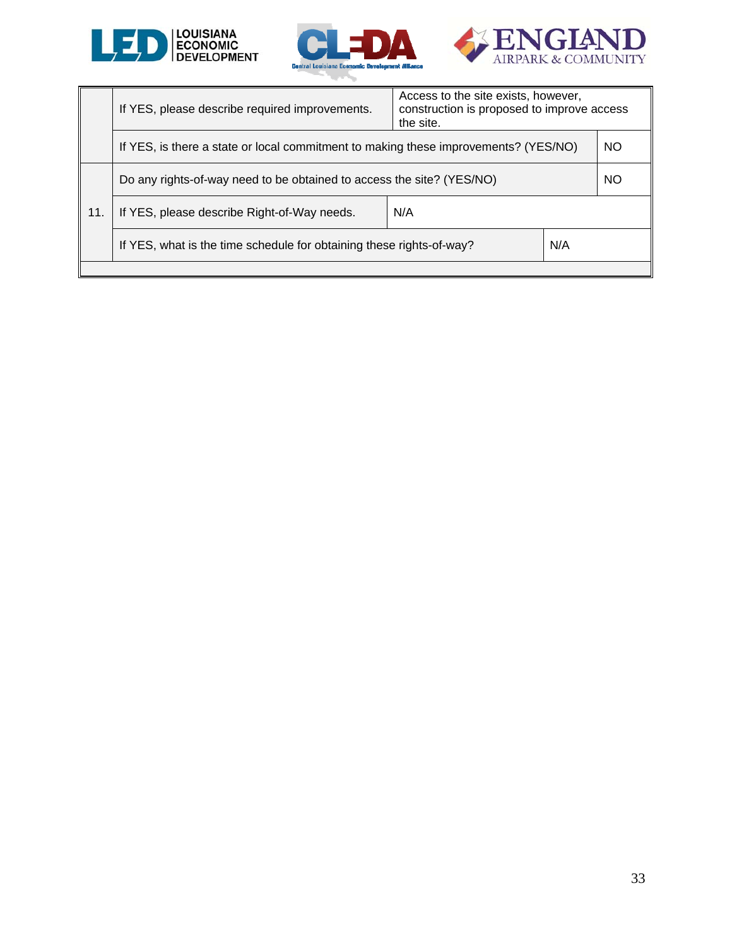





|     | If YES, please describe required improvements.                                      | Access to the site exists, however,<br>construction is proposed to improve access<br>the site. |  |           |
|-----|-------------------------------------------------------------------------------------|------------------------------------------------------------------------------------------------|--|-----------|
|     | If YES, is there a state or local commitment to making these improvements? (YES/NO) |                                                                                                |  | <b>NO</b> |
|     | Do any rights-of-way need to be obtained to access the site? (YES/NO)               |                                                                                                |  | <b>NO</b> |
| 11. | If YES, please describe Right-of-Way needs.<br>N/A                                  |                                                                                                |  |           |
|     | N/A<br>If YES, what is the time schedule for obtaining these rights-of-way?         |                                                                                                |  |           |
|     |                                                                                     |                                                                                                |  |           |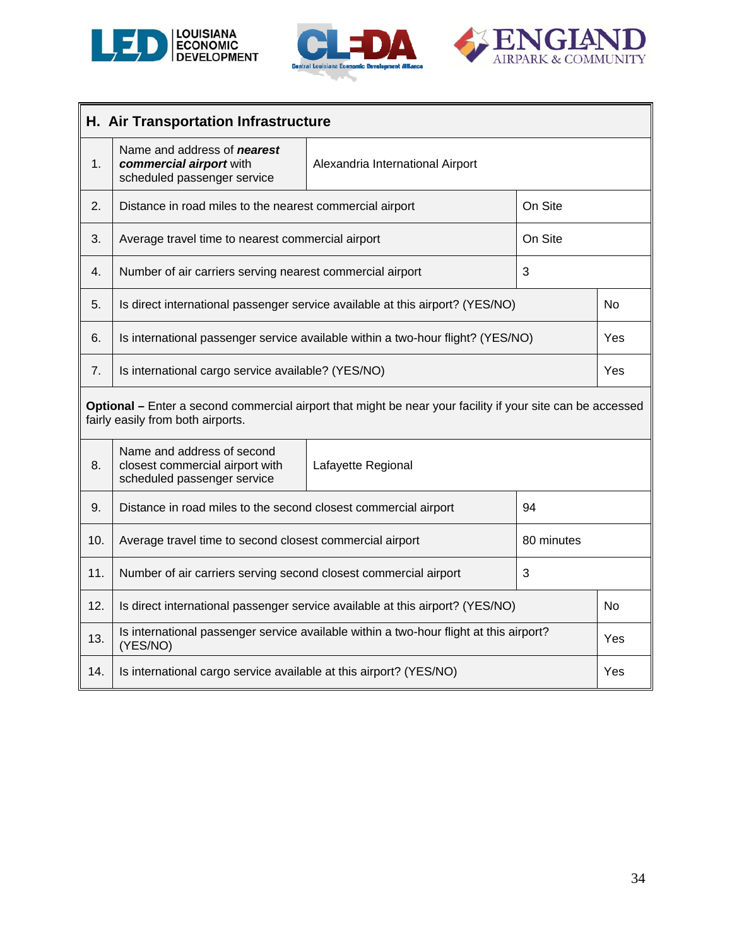

j.





L

|     | H. Air Transportation Infrastructure                                                               |                                                                                                            |           |                |
|-----|----------------------------------------------------------------------------------------------------|------------------------------------------------------------------------------------------------------------|-----------|----------------|
| 1.  | Name and address of <b>nearest</b><br>commercial airport with<br>scheduled passenger service       | Alexandria International Airport                                                                           |           |                |
| 2.  | Distance in road miles to the nearest commercial airport                                           |                                                                                                            | On Site   |                |
| 3.  | Average travel time to nearest commercial airport                                                  |                                                                                                            | On Site   |                |
| 4.  | Number of air carriers serving nearest commercial airport                                          |                                                                                                            | 3         |                |
| 5.  |                                                                                                    | Is direct international passenger service available at this airport? (YES/NO)                              |           | N <sub>o</sub> |
| 6.  | Is international passenger service available within a two-hour flight? (YES/NO)                    |                                                                                                            |           | Yes            |
| 7.  | Is international cargo service available? (YES/NO)                                                 |                                                                                                            |           | Yes            |
|     | fairly easily from both airports.                                                                  | Optional - Enter a second commercial airport that might be near your facility if your site can be accessed |           |                |
| 8.  | Name and address of second<br>closest commercial airport with<br>scheduled passenger service       | Lafayette Regional                                                                                         |           |                |
| 9.  | Distance in road miles to the second closest commercial airport                                    |                                                                                                            | 94        |                |
| 10. | Average travel time to second closest commercial airport<br>80 minutes                             |                                                                                                            |           |                |
| 11. | Number of air carriers serving second closest commercial airport<br>3                              |                                                                                                            |           |                |
| 12. | Is direct international passenger service available at this airport? (YES/NO)                      |                                                                                                            | <b>No</b> |                |
| 13. | Is international passenger service available within a two-hour flight at this airport?<br>(YES/NO) |                                                                                                            |           | Yes            |
| 14. | Is international cargo service available at this airport? (YES/NO)                                 |                                                                                                            |           | Yes            |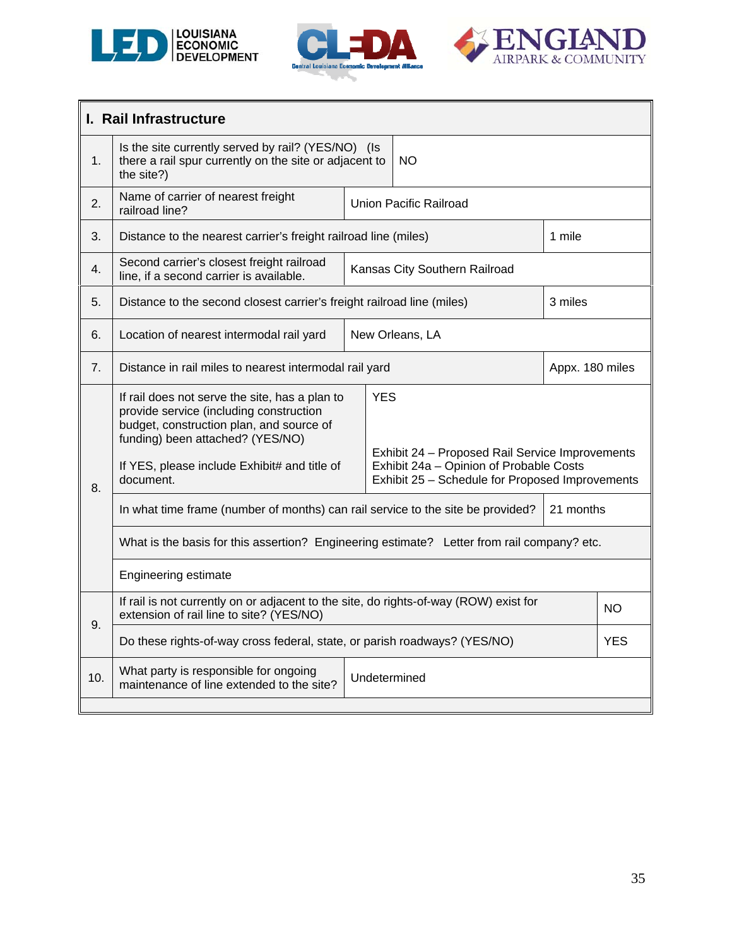





|     | I. Rail Infrastructure                                                                                                                                                                                                                 |  |                                                                                                                                                             |                               |           |  |
|-----|----------------------------------------------------------------------------------------------------------------------------------------------------------------------------------------------------------------------------------------|--|-------------------------------------------------------------------------------------------------------------------------------------------------------------|-------------------------------|-----------|--|
| 1.  | Is the site currently served by rail? (YES/NO) (Is<br>there a rail spur currently on the site or adjacent to<br>the site?)                                                                                                             |  |                                                                                                                                                             | <b>NO</b>                     |           |  |
| 2.  | Name of carrier of nearest freight<br>railroad line?                                                                                                                                                                                   |  |                                                                                                                                                             | <b>Union Pacific Railroad</b> |           |  |
| 3.  | Distance to the nearest carrier's freight railroad line (miles)                                                                                                                                                                        |  |                                                                                                                                                             |                               | 1 mile    |  |
| 4.  | Second carrier's closest freight railroad<br>line, if a second carrier is available.                                                                                                                                                   |  |                                                                                                                                                             | Kansas City Southern Railroad |           |  |
| 5.  | Distance to the second closest carrier's freight railroad line (miles)                                                                                                                                                                 |  |                                                                                                                                                             |                               | 3 miles   |  |
| 6.  | New Orleans, LA<br>Location of nearest intermodal rail yard                                                                                                                                                                            |  |                                                                                                                                                             |                               |           |  |
| 7.  | Distance in rail miles to nearest intermodal rail yard                                                                                                                                                                                 |  |                                                                                                                                                             | Appx. 180 miles               |           |  |
| 8.  | If rail does not serve the site, has a plan to<br>provide service (including construction<br>budget, construction plan, and source of<br>funding) been attached? (YES/NO)<br>If YES, please include Exhibit# and title of<br>document. |  | <b>YES</b><br>Exhibit 24 - Proposed Rail Service Improvements<br>Exhibit 24a - Opinion of Probable Costs<br>Exhibit 25 - Schedule for Proposed Improvements |                               |           |  |
|     | In what time frame (number of months) can rail service to the site be provided?                                                                                                                                                        |  |                                                                                                                                                             | 21 months                     |           |  |
|     | What is the basis for this assertion? Engineering estimate? Letter from rail company? etc.                                                                                                                                             |  |                                                                                                                                                             |                               |           |  |
|     | Engineering estimate                                                                                                                                                                                                                   |  |                                                                                                                                                             |                               |           |  |
| 9.  | If rail is not currently on or adjacent to the site, do rights-of-way (ROW) exist for<br>extension of rail line to site? (YES/NO)                                                                                                      |  |                                                                                                                                                             |                               | <b>NO</b> |  |
|     | Do these rights-of-way cross federal, state, or parish roadways? (YES/NO)                                                                                                                                                              |  | <b>YES</b>                                                                                                                                                  |                               |           |  |
| 10. | What party is responsible for ongoing<br>Undetermined<br>maintenance of line extended to the site?                                                                                                                                     |  |                                                                                                                                                             |                               |           |  |
|     |                                                                                                                                                                                                                                        |  |                                                                                                                                                             |                               |           |  |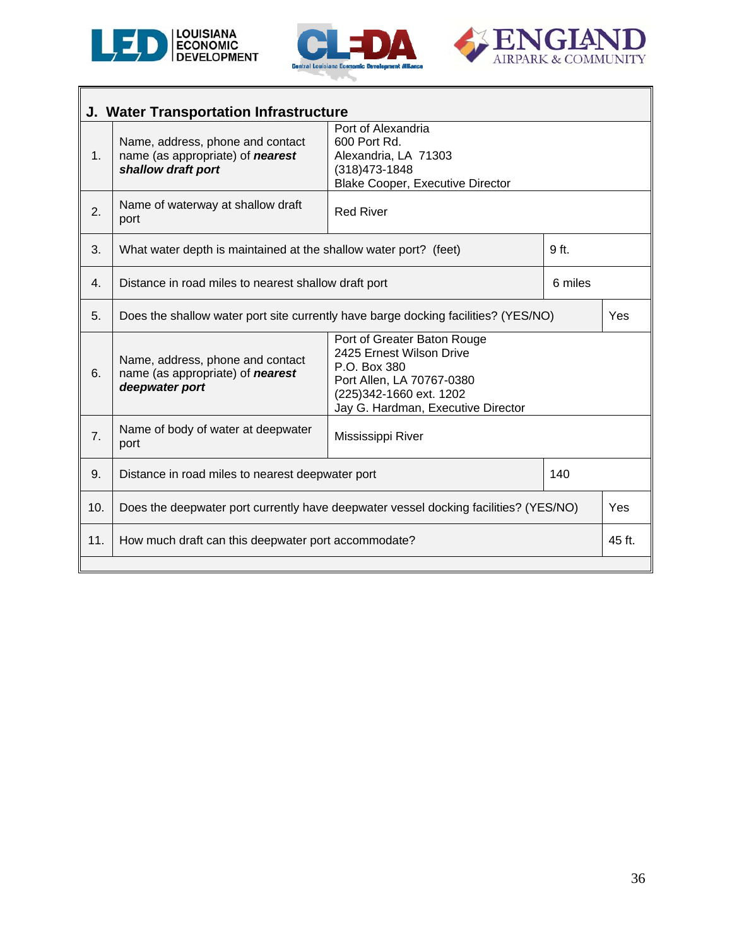





| J. Water Transportation Infrastructure                     |                                                                                                                                                                                                                                                                        |                   |        |     |
|------------------------------------------------------------|------------------------------------------------------------------------------------------------------------------------------------------------------------------------------------------------------------------------------------------------------------------------|-------------------|--------|-----|
| 1.                                                         | Port of Alexandria<br>600 Port Rd.<br>Name, address, phone and contact<br>Alexandria, LA 71303<br>name (as appropriate) of <b>nearest</b><br>shallow draft port<br>(318) 473-1848<br><b>Blake Cooper, Executive Director</b>                                           |                   |        |     |
| 2.                                                         | Name of waterway at shallow draft<br><b>Red River</b><br>port                                                                                                                                                                                                          |                   |        |     |
| 3.                                                         | 9 <sub>ft</sub><br>What water depth is maintained at the shallow water port? (feet)                                                                                                                                                                                    |                   |        |     |
| 4.                                                         | 6 miles<br>Distance in road miles to nearest shallow draft port                                                                                                                                                                                                        |                   |        |     |
| 5.                                                         | Does the shallow water port site currently have barge docking facilities? (YES/NO)                                                                                                                                                                                     |                   | Yes    |     |
| 6.                                                         | Port of Greater Baton Rouge<br>2425 Ernest Wilson Drive<br>Name, address, phone and contact<br>P.O. Box 380<br>name (as appropriate) of <b>nearest</b><br>Port Allen, LA 70767-0380<br>deepwater port<br>(225)342-1660 ext. 1202<br>Jay G. Hardman, Executive Director |                   |        |     |
| 7.                                                         | Name of body of water at deepwater<br>port                                                                                                                                                                                                                             | Mississippi River |        |     |
| 9.                                                         | 140<br>Distance in road miles to nearest deepwater port                                                                                                                                                                                                                |                   |        |     |
| 10.                                                        | Does the deepwater port currently have deepwater vessel docking facilities? (YES/NO)                                                                                                                                                                                   |                   |        | Yes |
| 11.<br>How much draft can this deepwater port accommodate? |                                                                                                                                                                                                                                                                        |                   | 45 ft. |     |
|                                                            |                                                                                                                                                                                                                                                                        |                   |        |     |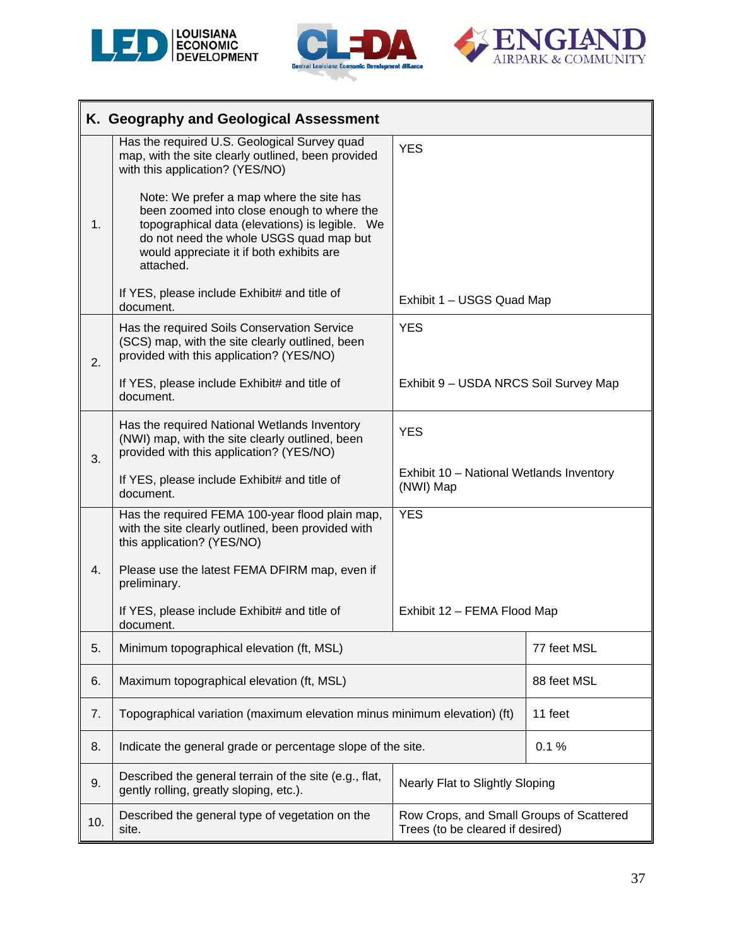





|     | K. Geography and Geological Assessment                                                                                                                                                           |                                                                              |             |
|-----|--------------------------------------------------------------------------------------------------------------------------------------------------------------------------------------------------|------------------------------------------------------------------------------|-------------|
|     | Has the required U.S. Geological Survey quad<br>map, with the site clearly outlined, been provided<br>with this application? (YES/NO)<br>Note: We prefer a map where the site has                | <b>YES</b>                                                                   |             |
| 1.  | been zoomed into close enough to where the<br>topographical data (elevations) is legible. We<br>do not need the whole USGS quad map but<br>would appreciate it if both exhibits are<br>attached. |                                                                              |             |
|     | If YES, please include Exhibit# and title of<br>document.                                                                                                                                        | Exhibit 1 - USGS Quad Map                                                    |             |
| 2.  | Has the required Soils Conservation Service<br>(SCS) map, with the site clearly outlined, been<br>provided with this application? (YES/NO)                                                       | <b>YES</b>                                                                   |             |
|     | If YES, please include Exhibit# and title of<br>document.                                                                                                                                        | Exhibit 9 - USDA NRCS Soil Survey Map                                        |             |
| 3.  | Has the required National Wetlands Inventory<br>(NWI) map, with the site clearly outlined, been<br>provided with this application? (YES/NO)                                                      | <b>YES</b>                                                                   |             |
|     | If YES, please include Exhibit# and title of<br>document.                                                                                                                                        | Exhibit 10 - National Wetlands Inventory<br>(NWI) Map                        |             |
|     | Has the required FEMA 100-year flood plain map,<br>with the site clearly outlined, been provided with<br>this application? (YES/NO)                                                              | <b>YES</b>                                                                   |             |
| 4.  | Please use the latest FEMA DFIRM map, even if<br>preliminary.                                                                                                                                    |                                                                              |             |
|     | If YES, please include Exhibit# and title of<br>document.                                                                                                                                        | Exhibit 12 - FEMA Flood Map                                                  |             |
| 5.  | Minimum topographical elevation (ft, MSL)                                                                                                                                                        |                                                                              | 77 feet MSL |
| 6.  | Maximum topographical elevation (ft, MSL)                                                                                                                                                        |                                                                              | 88 feet MSL |
| 7.  | Topographical variation (maximum elevation minus minimum elevation) (ft)                                                                                                                         |                                                                              | 11 feet     |
| 8.  | Indicate the general grade or percentage slope of the site.                                                                                                                                      |                                                                              | 0.1%        |
| 9.  | Described the general terrain of the site (e.g., flat,<br>gently rolling, greatly sloping, etc.).                                                                                                | Nearly Flat to Slightly Sloping                                              |             |
| 10. | Described the general type of vegetation on the<br>site.                                                                                                                                         | Row Crops, and Small Groups of Scattered<br>Trees (to be cleared if desired) |             |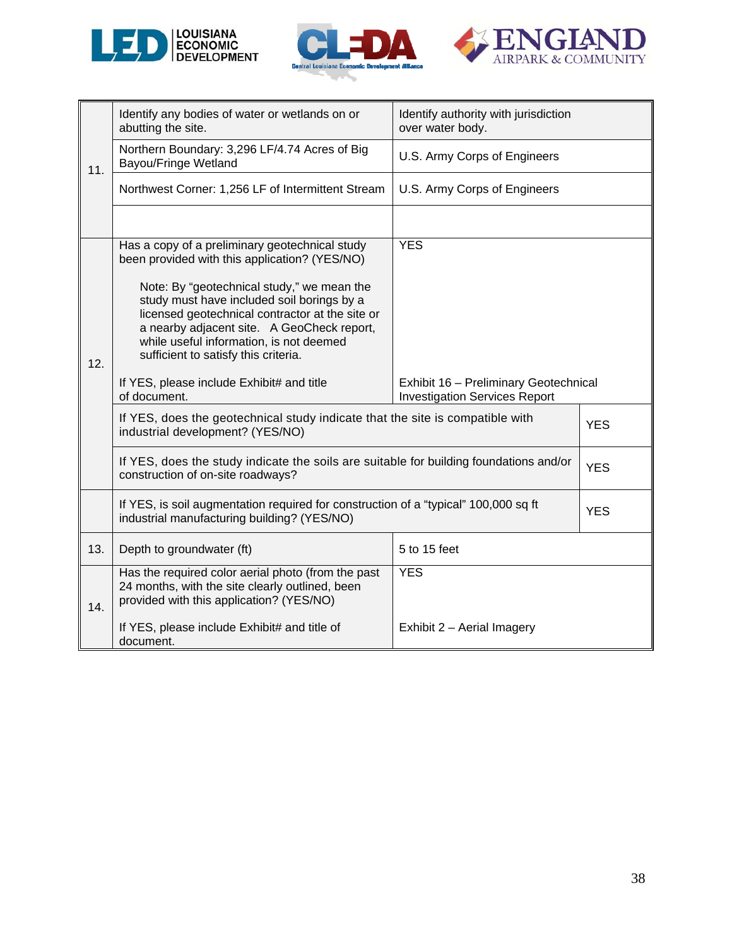





|     | Identify any bodies of water or wetlands on or<br>abutting the site.                                                                                                                                                                                                         | Identify authority with jurisdiction<br>over water body.                      |            |  |
|-----|------------------------------------------------------------------------------------------------------------------------------------------------------------------------------------------------------------------------------------------------------------------------------|-------------------------------------------------------------------------------|------------|--|
| 11. | Northern Boundary: 3,296 LF/4.74 Acres of Big<br><b>Bayou/Fringe Wetland</b>                                                                                                                                                                                                 | U.S. Army Corps of Engineers                                                  |            |  |
|     | Northwest Corner: 1,256 LF of Intermittent Stream                                                                                                                                                                                                                            | U.S. Army Corps of Engineers                                                  |            |  |
|     |                                                                                                                                                                                                                                                                              |                                                                               |            |  |
|     | Has a copy of a preliminary geotechnical study<br>been provided with this application? (YES/NO)                                                                                                                                                                              | <b>YES</b>                                                                    |            |  |
| 12. | Note: By "geotechnical study," we mean the<br>study must have included soil borings by a<br>licensed geotechnical contractor at the site or<br>a nearby adjacent site. A GeoCheck report,<br>while useful information, is not deemed<br>sufficient to satisfy this criteria. |                                                                               |            |  |
|     | If YES, please include Exhibit# and title<br>of document.                                                                                                                                                                                                                    | Exhibit 16 - Preliminary Geotechnical<br><b>Investigation Services Report</b> |            |  |
|     | If YES, does the geotechnical study indicate that the site is compatible with<br>industrial development? (YES/NO)                                                                                                                                                            |                                                                               | <b>YES</b> |  |
|     | If YES, does the study indicate the soils are suitable for building foundations and/or<br>construction of on-site roadways?                                                                                                                                                  |                                                                               | <b>YES</b> |  |
|     | If YES, is soil augmentation required for construction of a "typical" 100,000 sq ft<br>industrial manufacturing building? (YES/NO)                                                                                                                                           |                                                                               | <b>YES</b> |  |
| 13. | Depth to groundwater (ft)                                                                                                                                                                                                                                                    | 5 to 15 feet                                                                  |            |  |
| 14. | Has the required color aerial photo (from the past<br>24 months, with the site clearly outlined, been<br>provided with this application? (YES/NO)                                                                                                                            | <b>YES</b>                                                                    |            |  |
|     | If YES, please include Exhibit# and title of<br>document.                                                                                                                                                                                                                    | Exhibit 2 - Aerial Imagery                                                    |            |  |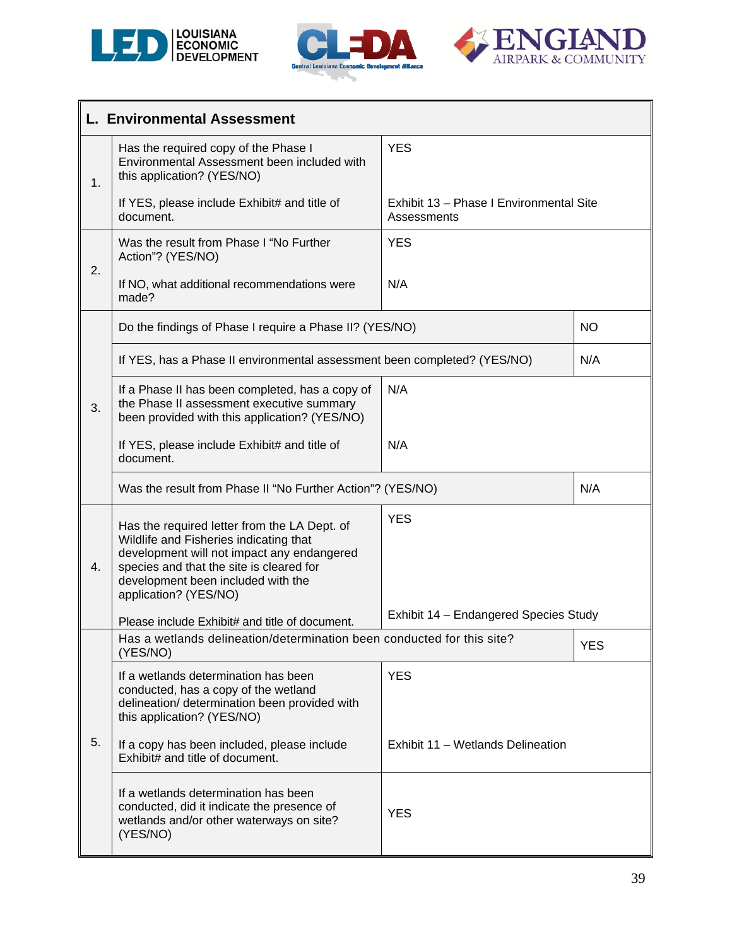





|    | <b>L. Environmental Assessment</b>                                                                                                                                                                                                              |                                                        |            |  |  |  |
|----|-------------------------------------------------------------------------------------------------------------------------------------------------------------------------------------------------------------------------------------------------|--------------------------------------------------------|------------|--|--|--|
| 1. | Has the required copy of the Phase I<br>Environmental Assessment been included with<br>this application? (YES/NO)                                                                                                                               | <b>YES</b>                                             |            |  |  |  |
|    | If YES, please include Exhibit# and title of<br>document.                                                                                                                                                                                       | Exhibit 13 - Phase I Environmental Site<br>Assessments |            |  |  |  |
| 2. | Was the result from Phase I "No Further<br>Action"? (YES/NO)                                                                                                                                                                                    | <b>YES</b>                                             |            |  |  |  |
|    | If NO, what additional recommendations were<br>made?                                                                                                                                                                                            | N/A                                                    |            |  |  |  |
|    | Do the findings of Phase I require a Phase II? (YES/NO)                                                                                                                                                                                         |                                                        | <b>NO</b>  |  |  |  |
| 3. | If YES, has a Phase II environmental assessment been completed? (YES/NO)                                                                                                                                                                        |                                                        | N/A        |  |  |  |
|    | If a Phase II has been completed, has a copy of<br>the Phase II assessment executive summary<br>been provided with this application? (YES/NO)                                                                                                   | N/A                                                    |            |  |  |  |
|    | If YES, please include Exhibit# and title of<br>document.                                                                                                                                                                                       | N/A                                                    |            |  |  |  |
|    | Was the result from Phase II "No Further Action"? (YES/NO)                                                                                                                                                                                      |                                                        | N/A        |  |  |  |
| 4. | Has the required letter from the LA Dept. of<br>Wildlife and Fisheries indicating that<br>development will not impact any endangered<br>species and that the site is cleared for<br>development been included with the<br>application? (YES/NO) | <b>YES</b>                                             |            |  |  |  |
|    | Please include Exhibit# and title of document.                                                                                                                                                                                                  | Exhibit 14 - Endangered Species Study                  |            |  |  |  |
|    | Has a wetlands delineation/determination been conducted for this site?<br>(YES/NO)                                                                                                                                                              |                                                        | <b>YES</b> |  |  |  |
|    | If a wetlands determination has been<br>conducted, has a copy of the wetland<br>delineation/ determination been provided with<br>this application? (YES/NO)                                                                                     | <b>YES</b>                                             |            |  |  |  |
| 5. | If a copy has been included, please include<br>Exhibit# and title of document.                                                                                                                                                                  | Exhibit 11 - Wetlands Delineation                      |            |  |  |  |
|    | If a wetlands determination has been<br>conducted, did it indicate the presence of<br>wetlands and/or other waterways on site?<br>(YES/NO)                                                                                                      | <b>YES</b>                                             |            |  |  |  |